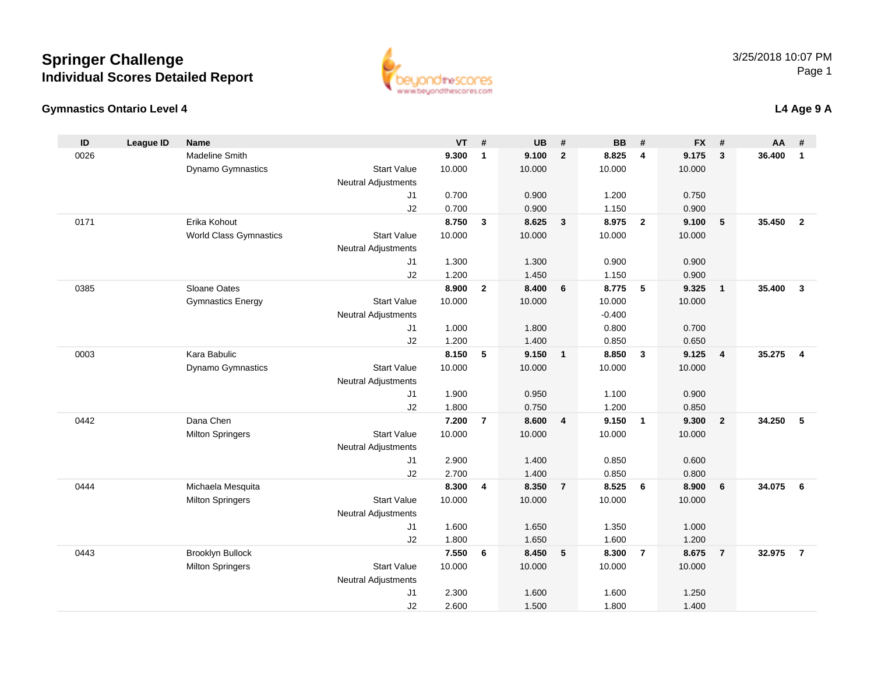### **Gymnastics Ontario Level 4**

| ID   | <b>League ID</b> | <b>Name</b>                   |                            | <b>VT</b> | #              | <b>UB</b> | #                       | <b>BB</b> | #                       | <b>FX</b> | #               | AA     | #                       |
|------|------------------|-------------------------------|----------------------------|-----------|----------------|-----------|-------------------------|-----------|-------------------------|-----------|-----------------|--------|-------------------------|
| 0026 |                  | <b>Madeline Smith</b>         |                            | 9.300     | $\mathbf{1}$   | 9.100     | $\overline{2}$          | 8.825     | 4                       | 9.175     | 3               | 36.400 | $\mathbf{1}$            |
|      |                  | Dynamo Gymnastics             | <b>Start Value</b>         | 10.000    |                | 10.000    |                         | 10.000    |                         | 10.000    |                 |        |                         |
|      |                  |                               | <b>Neutral Adjustments</b> |           |                |           |                         |           |                         |           |                 |        |                         |
|      |                  |                               | J <sub>1</sub>             | 0.700     |                | 0.900     |                         | 1.200     |                         | 0.750     |                 |        |                         |
|      |                  |                               | J2                         | 0.700     |                | 0.900     |                         | 1.150     |                         | 0.900     |                 |        |                         |
| 0171 |                  | Erika Kohout                  |                            | 8.750     | 3              | 8.625     | $\overline{\mathbf{3}}$ | 8.975     | $\overline{2}$          | 9.100     | $\sqrt{5}$      | 35.450 | $\overline{2}$          |
|      |                  | <b>World Class Gymnastics</b> | <b>Start Value</b>         | 10.000    |                | 10.000    |                         | 10.000    |                         | 10.000    |                 |        |                         |
|      |                  |                               | <b>Neutral Adjustments</b> |           |                |           |                         |           |                         |           |                 |        |                         |
|      |                  |                               | J <sub>1</sub>             | 1.300     |                | 1.300     |                         | 0.900     |                         | 0.900     |                 |        |                         |
|      |                  |                               | J2                         | 1.200     |                | 1.450     |                         | 1.150     |                         | 0.900     |                 |        |                         |
| 0385 |                  | Sloane Oates                  |                            | 8.900     | $\overline{2}$ | 8.400     | 6                       | 8.775     | 5                       | 9.325     | $\overline{1}$  | 35.400 | $\overline{\mathbf{3}}$ |
|      |                  | <b>Gymnastics Energy</b>      | <b>Start Value</b>         | 10.000    |                | 10.000    |                         | 10.000    |                         | 10.000    |                 |        |                         |
|      |                  |                               | <b>Neutral Adjustments</b> |           |                |           |                         | $-0.400$  |                         |           |                 |        |                         |
|      |                  |                               | J <sub>1</sub>             | 1.000     |                | 1.800     |                         | 0.800     |                         | 0.700     |                 |        |                         |
|      |                  |                               | J2                         | 1.200     |                | 1.400     |                         | 0.850     |                         | 0.650     |                 |        |                         |
| 0003 |                  | Kara Babulic                  |                            | 8.150     | 5              | 9.150     | $\overline{1}$          | 8.850     | $\mathbf{3}$            | 9.125     | $\overline{4}$  | 35.275 | $\overline{4}$          |
|      |                  | Dynamo Gymnastics             | <b>Start Value</b>         | 10.000    |                | 10.000    |                         | 10.000    |                         | 10.000    |                 |        |                         |
|      |                  |                               | <b>Neutral Adjustments</b> |           |                |           |                         |           |                         |           |                 |        |                         |
|      |                  |                               | J <sub>1</sub>             | 1.900     |                | 0.950     |                         | 1.100     |                         | 0.900     |                 |        |                         |
|      |                  |                               | J2                         | 1.800     |                | 0.750     |                         | 1.200     |                         | 0.850     |                 |        |                         |
| 0442 |                  | Dana Chen                     |                            | 7.200     | $\overline{7}$ | 8.600     | $\overline{\mathbf{4}}$ | 9.150     | $\overline{\mathbf{1}}$ | 9.300     | $\overline{2}$  | 34.250 | 5                       |
|      |                  | <b>Milton Springers</b>       | <b>Start Value</b>         | 10.000    |                | 10.000    |                         | 10.000    |                         | 10.000    |                 |        |                         |
|      |                  |                               | <b>Neutral Adjustments</b> |           |                |           |                         |           |                         |           |                 |        |                         |
|      |                  |                               | J1                         | 2.900     |                | 1.400     |                         | 0.850     |                         | 0.600     |                 |        |                         |
|      |                  |                               | J2                         | 2.700     |                | 1.400     |                         | 0.850     |                         | 0.800     |                 |        |                         |
| 0444 |                  | Michaela Mesquita             |                            | 8.300     | 4              | 8.350     | $\overline{7}$          | 8.525     | 6                       | 8.900     | $6\phantom{1}6$ | 34.075 | 6                       |
|      |                  | <b>Milton Springers</b>       | <b>Start Value</b>         | 10.000    |                | 10.000    |                         | 10.000    |                         | 10.000    |                 |        |                         |
|      |                  |                               | <b>Neutral Adjustments</b> |           |                |           |                         |           |                         |           |                 |        |                         |
|      |                  |                               | J <sub>1</sub>             | 1.600     |                | 1.650     |                         | 1.350     |                         | 1.000     |                 |        |                         |
|      |                  |                               | J2                         | 1.800     |                | 1.650     |                         | 1.600     |                         | 1.200     |                 |        |                         |
| 0443 |                  | <b>Brooklyn Bullock</b>       |                            | 7.550     | 6              | 8.450     | 5                       | 8.300     | $\overline{7}$          | 8.675     | $\overline{7}$  | 32.975 | $\overline{7}$          |
|      |                  | <b>Milton Springers</b>       | <b>Start Value</b>         | 10.000    |                | 10.000    |                         | 10.000    |                         | 10.000    |                 |        |                         |
|      |                  |                               | <b>Neutral Adjustments</b> |           |                |           |                         |           |                         |           |                 |        |                         |
|      |                  |                               | J <sub>1</sub>             | 2.300     |                | 1.600     |                         | 1.600     |                         | 1.250     |                 |        |                         |
|      |                  |                               | J2                         | 2.600     |                | 1.500     |                         | 1.800     |                         | 1.400     |                 |        |                         |

2.600 1.500 1.800 1.400



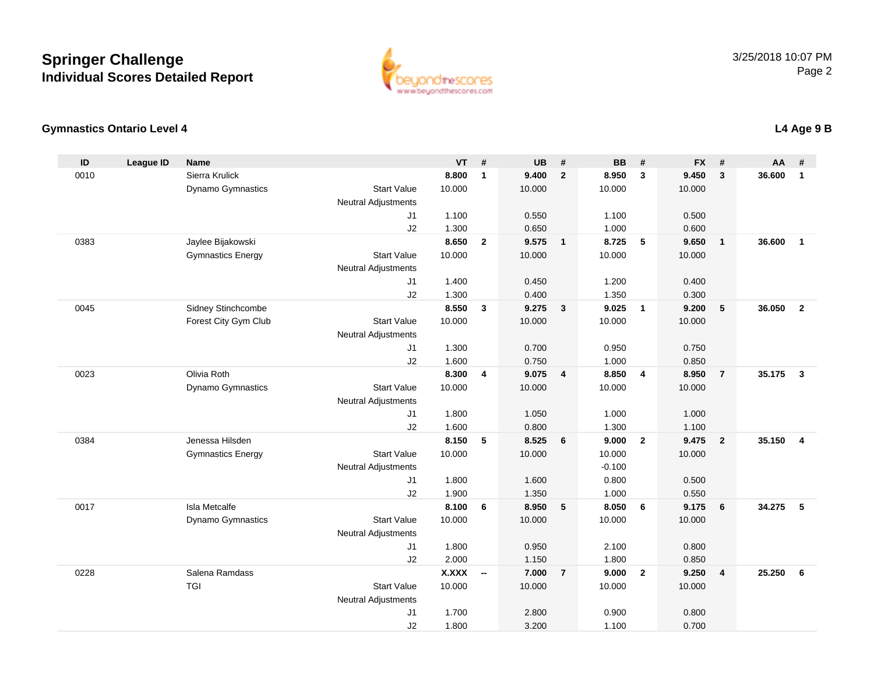

### **Gymnastics Ontario Level 4**

| ID   | <b>League ID</b> | <b>Name</b>              |                            | <b>VT</b>             | #                        | <b>UB</b>      | #                       | <b>BB</b>      | #                       | <b>FX</b>      | #                       | <b>AA</b> | #                       |
|------|------------------|--------------------------|----------------------------|-----------------------|--------------------------|----------------|-------------------------|----------------|-------------------------|----------------|-------------------------|-----------|-------------------------|
| 0010 |                  | Sierra Krulick           |                            | 8.800                 | $\mathbf{1}$             | 9.400          | $\overline{2}$          | 8.950          | 3                       | 9.450          | $\mathbf{3}$            | 36,600    | $\mathbf{1}$            |
|      |                  | Dynamo Gymnastics        | <b>Start Value</b>         | 10.000                |                          | 10.000         |                         | 10.000         |                         | 10.000         |                         |           |                         |
|      |                  |                          | <b>Neutral Adjustments</b> |                       |                          |                |                         |                |                         |                |                         |           |                         |
|      |                  |                          | J <sub>1</sub>             | 1.100                 |                          | 0.550          |                         | 1.100          |                         | 0.500          |                         |           |                         |
|      |                  |                          | J2                         | 1.300                 |                          | 0.650          |                         | 1.000          |                         | 0.600          |                         |           |                         |
| 0383 |                  | Jaylee Bijakowski        |                            | 8.650                 | $\overline{2}$           | 9.575          | $\overline{\mathbf{1}}$ | 8.725          | -5                      | 9.650          | $\mathbf{1}$            | 36.600    | $\overline{1}$          |
|      |                  | <b>Gymnastics Energy</b> | <b>Start Value</b>         | 10.000                |                          | 10.000         |                         | 10.000         |                         | 10.000         |                         |           |                         |
|      |                  |                          | Neutral Adjustments        |                       |                          |                |                         |                |                         |                |                         |           |                         |
|      |                  |                          | J1                         | 1.400                 |                          | 0.450          |                         | 1.200          |                         | 0.400          |                         |           |                         |
|      |                  |                          | J2                         | 1.300                 |                          | 0.400          |                         | 1.350          |                         | 0.300          |                         |           |                         |
| 0045 |                  | Sidney Stinchcombe       |                            | 8.550                 | $\mathbf{3}$             | 9.275          | $\overline{\mathbf{3}}$ | 9.025          | $\overline{1}$          | 9.200          | ${\bf 5}$               | 36.050    | $\overline{2}$          |
|      |                  | Forest City Gym Club     | <b>Start Value</b>         | 10.000                |                          | 10.000         |                         | 10.000         |                         | 10.000         |                         |           |                         |
|      |                  |                          | <b>Neutral Adjustments</b> |                       |                          |                |                         |                |                         |                |                         |           |                         |
|      |                  |                          | J1                         | 1.300                 |                          | 0.700          |                         | 0.950          |                         | 0.750          |                         |           |                         |
|      |                  |                          | J2                         | 1.600                 |                          | 0.750          |                         | 1.000          |                         | 0.850          |                         |           |                         |
| 0023 |                  | Olivia Roth              |                            | 8.300                 | 4                        | 9.075          | $\overline{\mathbf{4}}$ | 8.850          | $\overline{\mathbf{4}}$ | 8.950          | $\overline{7}$          | 35.175    | $\overline{\mathbf{3}}$ |
|      |                  | Dynamo Gymnastics        | <b>Start Value</b>         | 10.000                |                          | 10.000         |                         | 10.000         |                         | 10.000         |                         |           |                         |
|      |                  |                          | Neutral Adjustments        |                       |                          |                |                         |                |                         |                |                         |           |                         |
|      |                  |                          | J1                         | 1.800                 |                          | 1.050          |                         | 1.000          |                         | 1.000          |                         |           |                         |
|      |                  |                          | J2                         | 1.600                 |                          | 0.800          |                         | 1.300          |                         | 1.100          |                         |           |                         |
| 0384 |                  | Jenessa Hilsden          |                            | 8.150                 | 5                        | 8.525          | $6\phantom{1}6$         | 9.000          | $\overline{2}$          | 9.475          | $\overline{2}$          | 35.150    | $\overline{4}$          |
|      |                  | <b>Gymnastics Energy</b> | <b>Start Value</b>         | 10.000                |                          | 10.000         |                         | 10.000         |                         | 10.000         |                         |           |                         |
|      |                  |                          | Neutral Adjustments        |                       |                          |                |                         | $-0.100$       |                         |                |                         |           |                         |
|      |                  |                          | J1                         | 1.800                 |                          | 1.600          |                         | 0.800          |                         | 0.500          |                         |           |                         |
|      |                  |                          | J2                         | 1.900                 |                          | 1.350          |                         | 1.000          |                         | 0.550          |                         |           |                         |
| 0017 |                  | <b>Isla Metcalfe</b>     |                            | 8.100                 | 6                        | 8.950          | 5                       | 8.050          | 6                       | 9.175          | 6                       | 34.275    | 5                       |
|      |                  | Dynamo Gymnastics        | <b>Start Value</b>         | 10.000                |                          | 10.000         |                         | 10.000         |                         | 10.000         |                         |           |                         |
|      |                  |                          | Neutral Adjustments        |                       |                          |                |                         |                |                         |                |                         |           |                         |
|      |                  |                          | J1                         | 1.800                 |                          | 0.950          |                         | 2.100          |                         | 0.800          |                         |           |                         |
| 0228 |                  | Salena Ramdass           | J2                         | 2.000<br><b>X.XXX</b> | $\overline{\phantom{a}}$ | 1.150<br>7.000 | $\overline{7}$          | 1.800<br>9.000 | $\overline{2}$          | 0.850<br>9.250 | $\overline{\mathbf{4}}$ | 25.250    | 6                       |
|      |                  | <b>TGI</b>               | <b>Start Value</b>         | 10.000                |                          | 10.000         |                         | 10.000         |                         |                |                         |           |                         |
|      |                  |                          | Neutral Adjustments        |                       |                          |                |                         |                |                         | 10.000         |                         |           |                         |
|      |                  |                          | J1                         | 1.700                 |                          | 2.800          |                         | 0.900          |                         | 0.800          |                         |           |                         |
|      |                  |                          | J2                         | 1.800                 |                          | 3.200          |                         | 1.100          |                         | 0.700          |                         |           |                         |
|      |                  |                          |                            |                       |                          |                |                         |                |                         |                |                         |           |                         |

### **L4 Age 9 B**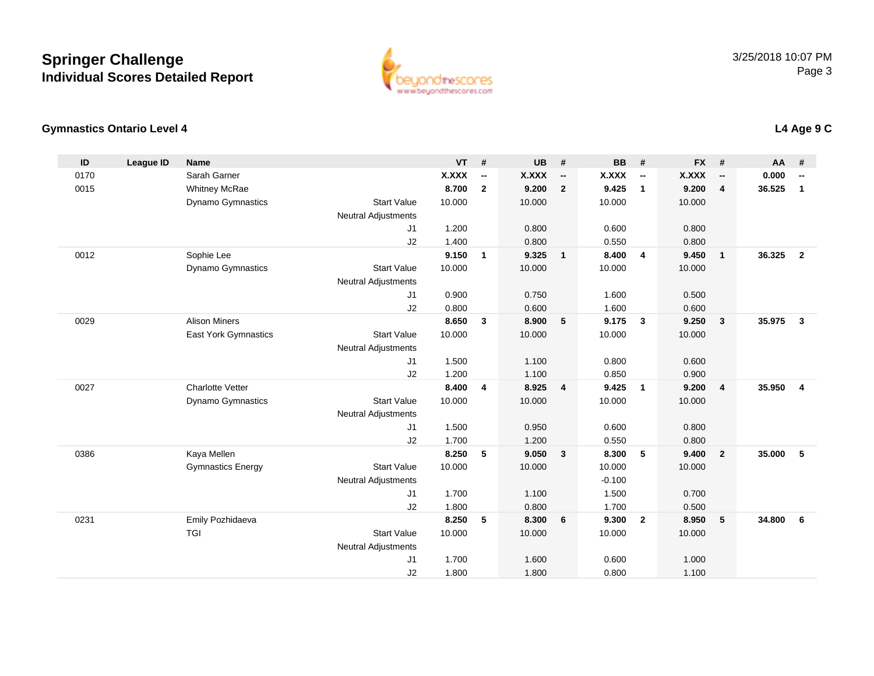

### **Gymnastics Ontario Level 4**

| ID   | <b>League ID</b> | <b>Name</b>                 |                            | <b>VT</b>    | #            | <b>UB</b> | #                        | <b>BB</b> | #                        | <b>FX</b>    | #                       | AA     | #                        |
|------|------------------|-----------------------------|----------------------------|--------------|--------------|-----------|--------------------------|-----------|--------------------------|--------------|-------------------------|--------|--------------------------|
| 0170 |                  | Sarah Garner                |                            | <b>X.XXX</b> | --           | X.XXX     | $\overline{\phantom{a}}$ | X.XXX     | $\overline{\phantom{a}}$ | <b>X.XXX</b> | --                      | 0.000  | $\overline{\phantom{a}}$ |
| 0015 |                  | <b>Whitney McRae</b>        |                            | 8.700        | $\mathbf{2}$ | 9.200     | $\overline{2}$           | 9.425     | $\mathbf{1}$             | 9.200        | $\overline{4}$          | 36.525 | $\mathbf{1}$             |
|      |                  | Dynamo Gymnastics           | <b>Start Value</b>         | 10.000       |              | 10.000    |                          | 10.000    |                          | 10.000       |                         |        |                          |
|      |                  |                             | <b>Neutral Adjustments</b> |              |              |           |                          |           |                          |              |                         |        |                          |
|      |                  |                             | J <sub>1</sub>             | 1.200        |              | 0.800     |                          | 0.600     |                          | 0.800        |                         |        |                          |
|      |                  |                             | J2                         | 1.400        |              | 0.800     |                          | 0.550     |                          | 0.800        |                         |        |                          |
| 0012 |                  | Sophie Lee                  |                            | 9.150        | $\mathbf{1}$ | 9.325     | $\overline{\mathbf{1}}$  | 8.400     | $\overline{4}$           | 9.450        | $\mathbf{1}$            | 36.325 | $\overline{2}$           |
|      |                  | Dynamo Gymnastics           | <b>Start Value</b>         | 10.000       |              | 10.000    |                          | 10.000    |                          | 10.000       |                         |        |                          |
|      |                  |                             | <b>Neutral Adjustments</b> |              |              |           |                          |           |                          |              |                         |        |                          |
|      |                  |                             | J1                         | 0.900        |              | 0.750     |                          | 1.600     |                          | 0.500        |                         |        |                          |
|      |                  |                             | J2                         | 0.800        |              | 0.600     |                          | 1.600     |                          | 0.600        |                         |        |                          |
| 0029 |                  | <b>Alison Miners</b>        |                            | 8.650        | 3            | 8.900     | $5\phantom{.0}$          | 9.175     | $\mathbf{3}$             | 9.250        | $\mathbf{3}$            | 35.975 | $\mathbf{3}$             |
|      |                  | <b>East York Gymnastics</b> | <b>Start Value</b>         | 10.000       |              | 10.000    |                          | 10.000    |                          | 10.000       |                         |        |                          |
|      |                  |                             | <b>Neutral Adjustments</b> |              |              |           |                          |           |                          |              |                         |        |                          |
|      |                  |                             | J <sub>1</sub>             | 1.500        |              | 1.100     |                          | 0.800     |                          | 0.600        |                         |        |                          |
|      |                  |                             | J2                         | 1.200        |              | 1.100     |                          | 0.850     |                          | 0.900        |                         |        |                          |
| 0027 |                  | <b>Charlotte Vetter</b>     |                            | 8.400        | 4            | 8.925     | $\overline{\mathbf{4}}$  | 9.425     | $\overline{1}$           | 9.200        | $\overline{\mathbf{4}}$ | 35.950 | 4                        |
|      |                  | <b>Dynamo Gymnastics</b>    | <b>Start Value</b>         | 10.000       |              | 10.000    |                          | 10.000    |                          | 10.000       |                         |        |                          |
|      |                  |                             | <b>Neutral Adjustments</b> |              |              |           |                          |           |                          |              |                         |        |                          |
|      |                  |                             | J <sub>1</sub>             | 1.500        |              | 0.950     |                          | 0.600     |                          | 0.800        |                         |        |                          |
|      |                  |                             | J2                         | 1.700        |              | 1.200     |                          | 0.550     |                          | 0.800        |                         |        |                          |
| 0386 |                  | Kaya Mellen                 |                            | 8.250        | 5            | 9.050     | $\mathbf{3}$             | 8.300     | 5                        | 9.400        | $\overline{2}$          | 35.000 | 5                        |
|      |                  | <b>Gymnastics Energy</b>    | <b>Start Value</b>         | 10.000       |              | 10.000    |                          | 10.000    |                          | 10.000       |                         |        |                          |
|      |                  |                             | <b>Neutral Adjustments</b> |              |              |           |                          | $-0.100$  |                          |              |                         |        |                          |
|      |                  |                             | J1                         | 1.700        |              | 1.100     |                          | 1.500     |                          | 0.700        |                         |        |                          |
|      |                  |                             | J2                         | 1.800        |              | 0.800     |                          | 1.700     |                          | 0.500        |                         |        |                          |
| 0231 |                  | Emily Pozhidaeva            |                            | 8.250        | 5            | 8.300     | 6                        | 9.300     | $\overline{2}$           | 8.950        | 5                       | 34.800 | 6                        |
|      |                  | <b>TGI</b>                  | <b>Start Value</b>         | 10.000       |              | 10.000    |                          | 10.000    |                          | 10.000       |                         |        |                          |
|      |                  |                             | <b>Neutral Adjustments</b> |              |              |           |                          |           |                          |              |                         |        |                          |
|      |                  |                             | J <sub>1</sub>             | 1.700        |              | 1.600     |                          | 0.600     |                          | 1.000        |                         |        |                          |
|      |                  |                             | J2                         | 1.800        |              | 1.800     |                          | 0.800     |                          | 1.100        |                         |        |                          |

### **L4 Age 9 C**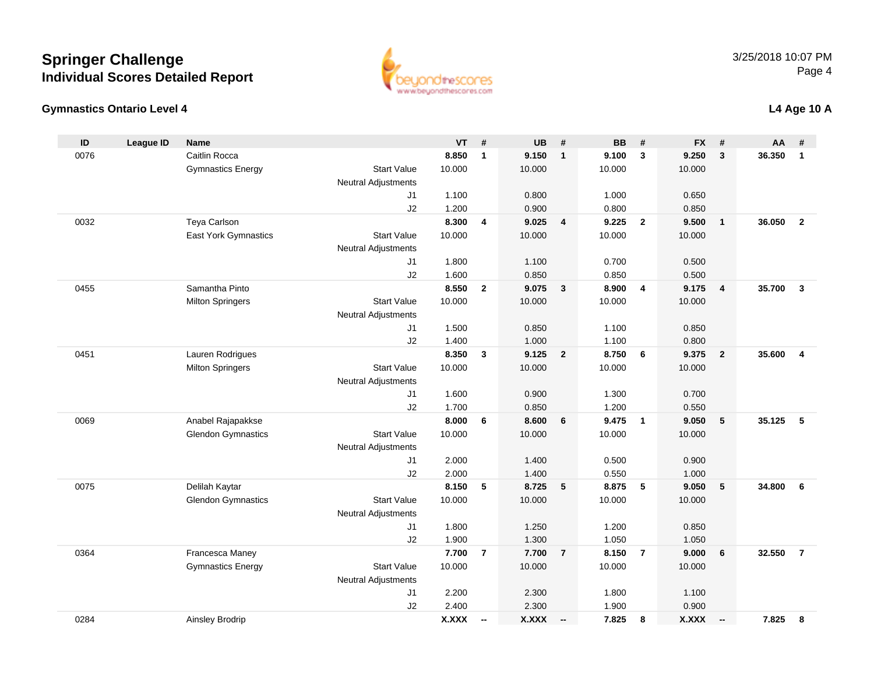#### **Gymnastics Ontario Level 4**

| ID   | <b>League ID</b> | <b>Name</b>               |                            | VT             | $\pmb{\#}$               | <b>UB</b>      | $\pmb{\#}$     | <b>BB</b>      | #               | <b>FX</b>      | #                        | AA     | #              |
|------|------------------|---------------------------|----------------------------|----------------|--------------------------|----------------|----------------|----------------|-----------------|----------------|--------------------------|--------|----------------|
| 0076 |                  | Caitlin Rocca             |                            | 8.850          | $\mathbf{1}$             | 9.150          | $\mathbf{1}$   | 9.100          | $\overline{3}$  | 9.250          | 3                        | 36.350 | $\overline{1}$ |
|      |                  | <b>Gymnastics Energy</b>  | <b>Start Value</b>         | 10.000         |                          | 10.000         |                | 10.000         |                 | 10.000         |                          |        |                |
|      |                  |                           | <b>Neutral Adjustments</b> |                |                          |                |                |                |                 |                |                          |        |                |
|      |                  |                           | J1                         | 1.100          |                          | 0.800          |                | 1.000          |                 | 0.650          |                          |        |                |
|      |                  |                           | J2                         | 1.200          |                          | 0.900          |                | 0.800          |                 | 0.850          |                          |        |                |
| 0032 |                  | Teya Carlson              |                            | 8.300          | 4                        | 9.025          | $\overline{4}$ | 9.225          | $\overline{2}$  | 9.500          | $\overline{1}$           | 36.050 | $\overline{2}$ |
|      |                  | East York Gymnastics      | <b>Start Value</b>         | 10.000         |                          | 10.000         |                | 10.000         |                 | 10.000         |                          |        |                |
|      |                  |                           | <b>Neutral Adjustments</b> |                |                          |                |                |                |                 |                |                          |        |                |
|      |                  |                           | J1                         | 1.800          |                          | 1.100          |                | 0.700          |                 | 0.500          |                          |        |                |
|      |                  |                           | J2                         | 1.600          |                          | 0.850          |                | 0.850          |                 | 0.500          |                          |        |                |
| 0455 |                  | Samantha Pinto            |                            | 8.550          | $\overline{2}$           | 9.075          | $\mathbf{3}$   | 8.900          | $\overline{4}$  | 9.175          | $\overline{4}$           | 35.700 | $\mathbf{3}$   |
|      |                  | <b>Milton Springers</b>   | <b>Start Value</b>         | 10.000         |                          | 10.000         |                | 10.000         |                 | 10.000         |                          |        |                |
|      |                  |                           | Neutral Adjustments        |                |                          |                |                |                |                 |                |                          |        |                |
|      |                  |                           | J1                         | 1.500          |                          | 0.850          |                | 1.100          |                 | 0.850          |                          |        |                |
|      |                  |                           | J2                         | 1.400          |                          | 1.000          |                | 1.100          |                 | 0.800          |                          |        |                |
| 0451 |                  | Lauren Rodrigues          |                            | 8.350          | $\mathbf{3}$             | 9.125          | $\overline{2}$ | 8.750          | $6\phantom{1}6$ | 9.375          | $\overline{\mathbf{2}}$  | 35.600 | $\overline{4}$ |
|      |                  | <b>Milton Springers</b>   | <b>Start Value</b>         | 10.000         |                          | 10.000         |                | 10.000         |                 | 10.000         |                          |        |                |
|      |                  |                           | <b>Neutral Adjustments</b> |                |                          |                |                |                |                 |                |                          |        |                |
|      |                  |                           | J1                         | 1.600          |                          | 0.900          |                | 1.300          |                 | 0.700          |                          |        |                |
|      |                  |                           | J2                         | 1.700          |                          | 0.850          |                | 1.200          |                 | 0.550          |                          |        |                |
| 0069 |                  | Anabel Rajapakkse         |                            | 8.000          | 6                        | 8.600          | 6              | 9.475          | $\overline{1}$  | 9.050          | 5                        | 35.125 | -5             |
|      |                  | <b>Glendon Gymnastics</b> | <b>Start Value</b>         | 10.000         |                          | 10.000         |                | 10.000         |                 | 10.000         |                          |        |                |
|      |                  |                           | Neutral Adjustments        |                |                          |                |                |                |                 |                |                          |        |                |
|      |                  |                           | J1                         | 2.000          |                          | 1.400          |                | 0.500          |                 | 0.900          |                          |        |                |
|      |                  |                           | J2                         | 2.000          |                          | 1.400          |                | 0.550          |                 | 1.000          |                          |        |                |
| 0075 |                  | Delilah Kaytar            |                            | 8.150          | 5                        | 8.725          | 5              | 8.875          | $5\phantom{.0}$ | 9.050          | 5                        | 34.800 | 6              |
|      |                  | <b>Glendon Gymnastics</b> | <b>Start Value</b>         | 10.000         |                          | 10.000         |                | 10.000         |                 | 10.000         |                          |        |                |
|      |                  |                           | Neutral Adjustments        |                |                          |                |                |                |                 |                |                          |        |                |
|      |                  |                           | J1<br>J2                   | 1.800<br>1.900 |                          | 1.250<br>1.300 |                | 1.200<br>1.050 |                 | 0.850<br>1.050 |                          |        |                |
| 0364 |                  | Francesca Maney           |                            | 7.700          | $\overline{7}$           | 7.700          | $\overline{7}$ | 8.150          | $\overline{7}$  | 9.000          | $6\phantom{1}6$          | 32.550 | $\overline{7}$ |
|      |                  |                           | <b>Start Value</b>         | 10.000         |                          | 10.000         |                | 10.000         |                 | 10.000         |                          |        |                |
|      |                  | <b>Gymnastics Energy</b>  | <b>Neutral Adjustments</b> |                |                          |                |                |                |                 |                |                          |        |                |
|      |                  |                           | J1                         | 2.200          |                          | 2.300          |                | 1.800          |                 | 1.100          |                          |        |                |
|      |                  |                           | J2                         | 2.400          |                          | 2.300          |                | 1.900          |                 | 0.900          |                          |        |                |
| 0284 |                  |                           |                            |                |                          |                |                | 7.825          | 8               |                |                          | 7.825  | 8              |
|      |                  | Ainsley Brodrip           |                            | <b>X.XXX</b>   | $\overline{\phantom{a}}$ | <b>X.XXX</b>   | $\sim$         |                |                 | <b>X.XXX</b>   | $\overline{\phantom{a}}$ |        |                |



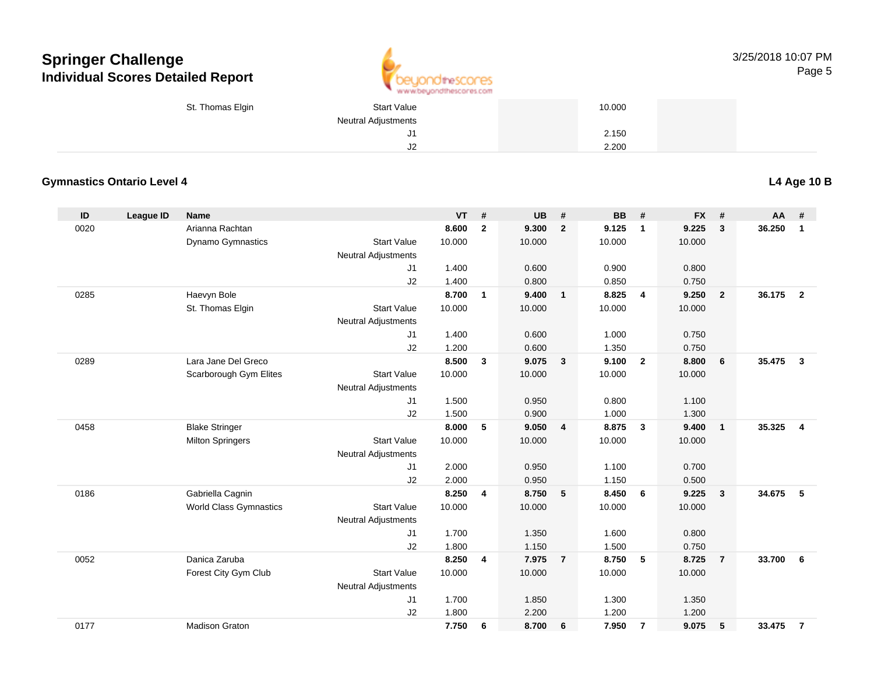

| St. Thomas Elgin | <b>Start Value</b>  | 10.000 |  |
|------------------|---------------------|--------|--|
|                  | Neutral Adjustments |        |  |
|                  | ັບ I                | 2.150  |  |
|                  | $\mathsf{I}$<br>ےں  | 2.200  |  |

### **Gymnastics Ontario Level 4**

**L4 Age 10 B**

| ID   | <b>League ID</b> | <b>Name</b>                   |                            | <b>VT</b> | #              | UB     | #              | <b>BB</b> | #                       | <b>FX</b> | #                       | <b>AA</b> | #                       |
|------|------------------|-------------------------------|----------------------------|-----------|----------------|--------|----------------|-----------|-------------------------|-----------|-------------------------|-----------|-------------------------|
| 0020 |                  | Arianna Rachtan               |                            | 8.600     | $\overline{2}$ | 9.300  | $\overline{2}$ | 9.125     | $\overline{1}$          | 9.225     | 3                       | 36.250    | $\mathbf{1}$            |
|      |                  | Dynamo Gymnastics             | <b>Start Value</b>         | 10.000    |                | 10.000 |                | 10.000    |                         | 10.000    |                         |           |                         |
|      |                  |                               | <b>Neutral Adjustments</b> |           |                |        |                |           |                         |           |                         |           |                         |
|      |                  |                               | J1                         | 1.400     |                | 0.600  |                | 0.900     |                         | 0.800     |                         |           |                         |
|      |                  |                               | J2                         | 1.400     |                | 0.800  |                | 0.850     |                         | 0.750     |                         |           |                         |
| 0285 |                  | Haevyn Bole                   |                            | 8.700     | $\mathbf{1}$   | 9.400  | $\overline{1}$ | 8.825     | $\overline{4}$          | 9.250     | $\overline{2}$          | 36.175    | $\overline{2}$          |
|      |                  | St. Thomas Elgin              | <b>Start Value</b>         | 10.000    |                | 10.000 |                | 10.000    |                         | 10.000    |                         |           |                         |
|      |                  |                               | <b>Neutral Adjustments</b> |           |                |        |                |           |                         |           |                         |           |                         |
|      |                  |                               | J1                         | 1.400     |                | 0.600  |                | 1.000     |                         | 0.750     |                         |           |                         |
|      |                  |                               | J2                         | 1.200     |                | 0.600  |                | 1.350     |                         | 0.750     |                         |           |                         |
| 0289 |                  | Lara Jane Del Greco           |                            | 8.500     | $\mathbf{3}$   | 9.075  | $\mathbf{3}$   | 9.100     | $\overline{2}$          | 8.800     | 6                       | 35.475    | $\mathbf{3}$            |
|      |                  | Scarborough Gym Elites        | <b>Start Value</b>         | 10.000    |                | 10.000 |                | 10.000    |                         | 10.000    |                         |           |                         |
|      |                  |                               | <b>Neutral Adjustments</b> |           |                |        |                |           |                         |           |                         |           |                         |
|      |                  |                               | J1                         | 1.500     |                | 0.950  |                | 0.800     |                         | 1.100     |                         |           |                         |
|      |                  |                               | J2                         | 1.500     |                | 0.900  |                | 1.000     |                         | 1.300     |                         |           |                         |
| 0458 |                  | <b>Blake Stringer</b>         |                            | 8.000     | 5              | 9.050  | $\overline{4}$ | 8.875     | $\overline{\mathbf{3}}$ | 9.400     | $\overline{1}$          | 35.325    | $\overline{\mathbf{4}}$ |
|      |                  | <b>Milton Springers</b>       | <b>Start Value</b>         | 10.000    |                | 10.000 |                | 10.000    |                         | 10.000    |                         |           |                         |
|      |                  |                               | Neutral Adjustments        |           |                |        |                |           |                         |           |                         |           |                         |
|      |                  |                               | J1                         | 2.000     |                | 0.950  |                | 1.100     |                         | 0.700     |                         |           |                         |
|      |                  |                               | J2                         | 2.000     |                | 0.950  |                | 1.150     |                         | 0.500     |                         |           |                         |
| 0186 |                  | Gabriella Cagnin              |                            | 8.250     | 4              | 8.750  | 5              | 8.450     | 6                       | 9.225     | $\overline{\mathbf{3}}$ | 34.675    | 5                       |
|      |                  | <b>World Class Gymnastics</b> | <b>Start Value</b>         | 10.000    |                | 10.000 |                | 10.000    |                         | 10.000    |                         |           |                         |
|      |                  |                               | <b>Neutral Adjustments</b> |           |                |        |                |           |                         |           |                         |           |                         |
|      |                  |                               | J1                         | 1.700     |                | 1.350  |                | 1.600     |                         | 0.800     |                         |           |                         |
|      |                  |                               | J2                         | 1.800     |                | 1.150  |                | 1.500     |                         | 0.750     |                         |           |                         |
| 0052 |                  | Danica Zaruba                 |                            | 8.250     | 4              | 7.975  | $\overline{7}$ | 8.750     | 5                       | 8.725     | $\overline{7}$          | 33.700    | 6                       |
|      |                  | Forest City Gym Club          | <b>Start Value</b>         | 10.000    |                | 10.000 |                | 10.000    |                         | 10.000    |                         |           |                         |
|      |                  |                               | <b>Neutral Adjustments</b> |           |                |        |                |           |                         |           |                         |           |                         |
|      |                  |                               | J <sub>1</sub>             | 1.700     |                | 1.850  |                | 1.300     |                         | 1.350     |                         |           |                         |
|      |                  |                               | J2                         | 1.800     |                | 2.200  |                | 1.200     |                         | 1.200     |                         |           |                         |
| 0177 |                  | <b>Madison Graton</b>         |                            | 7.750     | 6              | 8.700  | 6              | 7.950     | $\overline{7}$          | 9.075     | 5                       | 33.475    | $\overline{7}$          |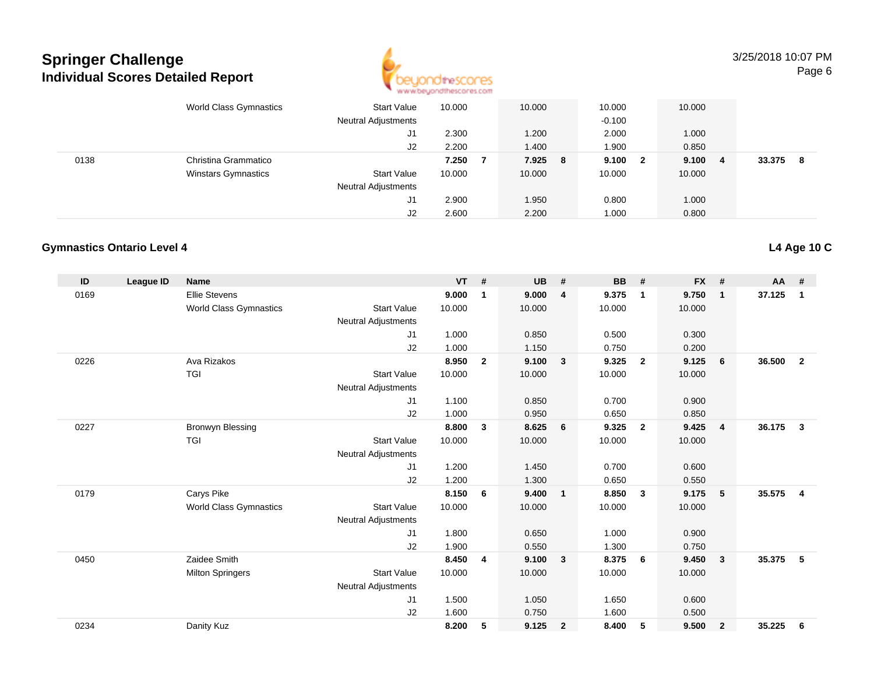

3/25/2018 10:07 PMPage 6

|      | World Class Gymnastics     | <b>Start Value</b><br><b>Neutral Adjustments</b> | 10.000         |   | 10.000         | 10.000<br>$-0.100$ |                         | 10.000         |   |        |    |
|------|----------------------------|--------------------------------------------------|----------------|---|----------------|--------------------|-------------------------|----------------|---|--------|----|
|      |                            | J1<br>J2                                         | 2.300<br>2.200 |   | 1.200<br>1.400 | 2.000<br>1.900     |                         | 1.000<br>0.850 |   |        |    |
| 0138 | Christina Grammatico       |                                                  | 7.250          | 7 | 7.925 8        | 9.100              | $\overline{\mathbf{2}}$ | 9.100          | 4 | 33.375 | -8 |
|      | <b>Winstars Gymnastics</b> | <b>Start Value</b><br><b>Neutral Adjustments</b> | 10.000         |   | 10.000         | 10.000             |                         | 10.000         |   |        |    |
|      |                            | J1                                               | 2.900          |   | 1.950          | 0.800              |                         | 1.000          |   |        |    |
|      |                            | J2                                               | 2.600          |   | 2.200          | 1.000              |                         | 0.800          |   |        |    |

### **Gymnastics Ontario Level 4**

| ID   | League ID | <b>Name</b>                   |                            | <b>VT</b> | #              | <b>UB</b> | #                       | <b>BB</b> | #              | <b>FX</b> | #              | <b>AA</b> | #              |
|------|-----------|-------------------------------|----------------------------|-----------|----------------|-----------|-------------------------|-----------|----------------|-----------|----------------|-----------|----------------|
| 0169 |           | <b>Ellie Stevens</b>          |                            | 9.000     | 1              | 9.000     | 4                       | 9.375     | $\mathbf{1}$   | 9.750     | $\mathbf{1}$   | 37.125    | $\mathbf{1}$   |
|      |           | <b>World Class Gymnastics</b> | <b>Start Value</b>         | 10.000    |                | 10.000    |                         | 10.000    |                | 10.000    |                |           |                |
|      |           |                               | <b>Neutral Adjustments</b> |           |                |           |                         |           |                |           |                |           |                |
|      |           |                               | J1                         | 1.000     |                | 0.850     |                         | 0.500     |                | 0.300     |                |           |                |
|      |           |                               | J2                         | 1.000     |                | 1.150     |                         | 0.750     |                | 0.200     |                |           |                |
| 0226 |           | Ava Rizakos                   |                            | 8.950     | $\overline{2}$ | 9.100     | $\overline{\mathbf{3}}$ | 9.325     | $\overline{2}$ | 9.125     | 6              | 36.500    | $\overline{2}$ |
|      |           | <b>TGI</b>                    | <b>Start Value</b>         | 10.000    |                | 10.000    |                         | 10.000    |                | 10.000    |                |           |                |
|      |           |                               | <b>Neutral Adjustments</b> |           |                |           |                         |           |                |           |                |           |                |
|      |           |                               | J1                         | 1.100     |                | 0.850     |                         | 0.700     |                | 0.900     |                |           |                |
|      |           |                               | J2                         | 1.000     |                | 0.950     |                         | 0.650     |                | 0.850     |                |           |                |
| 0227 |           | Bronwyn Blessing              |                            | 8.800     | 3              | 8.625     | 6                       | 9.325     | $\overline{2}$ | 9.425     | $\overline{4}$ | 36.175    | 3              |
|      |           | TGI                           | <b>Start Value</b>         | 10.000    |                | 10.000    |                         | 10.000    |                | 10.000    |                |           |                |
|      |           |                               | <b>Neutral Adjustments</b> |           |                |           |                         |           |                |           |                |           |                |
|      |           |                               | J <sub>1</sub>             | 1.200     |                | 1.450     |                         | 0.700     |                | 0.600     |                |           |                |
|      |           |                               | J <sub>2</sub>             | 1.200     |                | 1.300     |                         | 0.650     |                | 0.550     |                |           |                |
| 0179 |           | Carys Pike                    |                            | 8.150     | 6              | 9.400     | $\overline{\mathbf{1}}$ | 8.850     | $\mathbf{3}$   | 9.175     | 5              | 35.575    | $\overline{4}$ |
|      |           | <b>World Class Gymnastics</b> | <b>Start Value</b>         | 10.000    |                | 10.000    |                         | 10.000    |                | 10.000    |                |           |                |
|      |           |                               | <b>Neutral Adjustments</b> |           |                |           |                         |           |                |           |                |           |                |
|      |           |                               | J <sub>1</sub>             | 1.800     |                | 0.650     |                         | 1.000     |                | 0.900     |                |           |                |
|      |           |                               | J2                         | 1.900     |                | 0.550     |                         | 1.300     |                | 0.750     |                |           |                |
| 0450 |           | Zaidee Smith                  |                            | 8.450     | $\overline{4}$ | 9.100     | $\overline{\mathbf{3}}$ | 8.375     | 6              | 9.450     | $\mathbf{3}$   | 35.375    | 5              |
|      |           | <b>Milton Springers</b>       | <b>Start Value</b>         | 10.000    |                | 10.000    |                         | 10.000    |                | 10.000    |                |           |                |
|      |           |                               | <b>Neutral Adjustments</b> |           |                |           |                         |           |                |           |                |           |                |
|      |           |                               | J <sub>1</sub>             | 1.500     |                | 1.050     |                         | 1.650     |                | 0.600     |                |           |                |
|      |           |                               | J <sub>2</sub>             | 1.600     |                | 0.750     |                         | 1.600     |                | 0.500     |                |           |                |
| 0234 |           | Danity Kuz                    |                            | 8.200     | 5              | 9.125     | $\overline{2}$          | 8.400     | 5              | 9.500     | $\overline{2}$ | 35.225    | 6              |
|      |           |                               |                            |           |                |           |                         |           |                |           |                |           |                |

#### **L4 Age 10 C**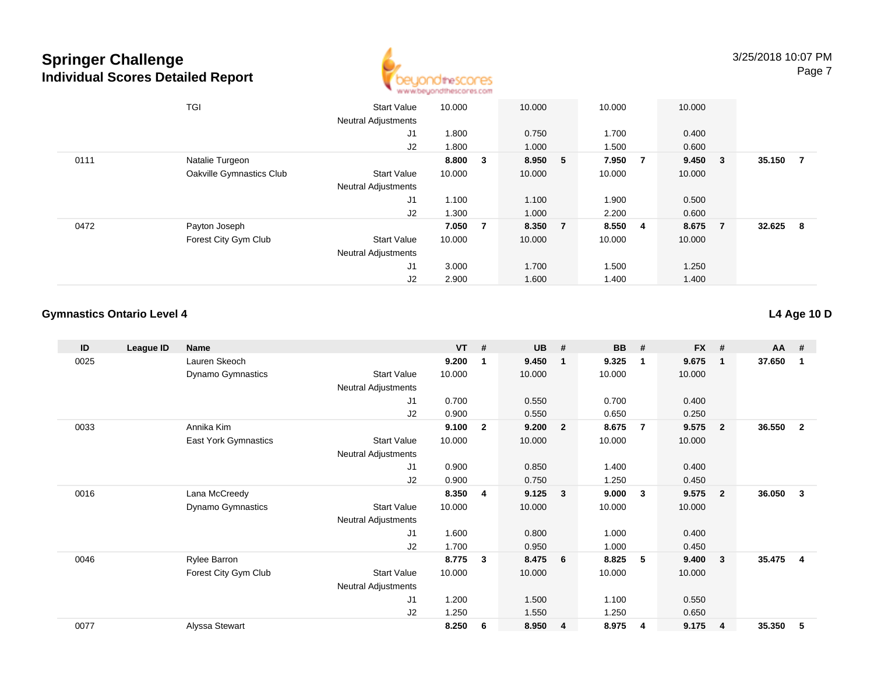

|      | TGI                      | <b>Start Value</b><br><b>Neutral Adjustments</b> | 10.000 |                | 10.000  |                | 10.000 |                         | 10.000  |                |        |     |
|------|--------------------------|--------------------------------------------------|--------|----------------|---------|----------------|--------|-------------------------|---------|----------------|--------|-----|
|      |                          | J1                                               | 1.800  |                | 0.750   |                | 1.700  |                         | 0.400   |                |        |     |
|      |                          | J2                                               | 1.800  |                | 1.000   |                | 1.500  |                         | 0.600   |                |        |     |
| 0111 | Natalie Turgeon          |                                                  | 8.800  | 3              | 8.950 5 |                | 7.950  | $\overline{7}$          | 9.450 3 |                | 35.150 | - 7 |
|      | Oakville Gymnastics Club | <b>Start Value</b>                               | 10.000 |                | 10.000  |                | 10.000 |                         | 10.000  |                |        |     |
|      |                          | <b>Neutral Adjustments</b>                       |        |                |         |                |        |                         |         |                |        |     |
|      |                          | J <sub>1</sub>                                   | 1.100  |                | 1.100   |                | 1.900  |                         | 0.500   |                |        |     |
|      |                          | J2                                               | 1.300  |                | 1.000   |                | 2.200  |                         | 0.600   |                |        |     |
| 0472 | Payton Joseph            |                                                  | 7.050  | $\overline{7}$ | 8.350   | $\overline{7}$ | 8.550  | $\overline{\mathbf{4}}$ | 8.675   | $\overline{7}$ | 32.625 | - 8 |
|      | Forest City Gym Club     | <b>Start Value</b>                               | 10.000 |                | 10.000  |                | 10.000 |                         | 10.000  |                |        |     |
|      |                          | <b>Neutral Adjustments</b>                       |        |                |         |                |        |                         |         |                |        |     |
|      |                          | J <sub>1</sub>                                   | 3.000  |                | 1.700   |                | 1.500  |                         | 1.250   |                |        |     |
|      |                          | J2                                               | 2.900  |                | 1.600   |                | 1.400  |                         | 1.400   |                |        |     |

### **Gymnastics Ontario Level 4**

| ID   | League ID | Name                     |                            | $VT$ # |              | <b>UB</b> | #            | <b>BB</b> | #              | $FX$ # |                         | AA     | #                       |
|------|-----------|--------------------------|----------------------------|--------|--------------|-----------|--------------|-----------|----------------|--------|-------------------------|--------|-------------------------|
| 0025 |           | Lauren Skeoch            |                            | 9.200  | 1            | 9.450     | $\mathbf{1}$ | 9.325     | $\mathbf{1}$   | 9.675  | $\overline{\mathbf{1}}$ | 37.650 | $\overline{\mathbf{1}}$ |
|      |           | Dynamo Gymnastics        | <b>Start Value</b>         | 10.000 |              | 10.000    |              | 10.000    |                | 10.000 |                         |        |                         |
|      |           |                          | <b>Neutral Adjustments</b> |        |              |           |              |           |                |        |                         |        |                         |
|      |           |                          | J <sub>1</sub>             | 0.700  |              | 0.550     |              | 0.700     |                | 0.400  |                         |        |                         |
|      |           |                          | J2                         | 0.900  |              | 0.550     |              | 0.650     |                | 0.250  |                         |        |                         |
| 0033 |           | Annika Kim               |                            | 9.100  | $\mathbf{2}$ | 9.200     | $\mathbf{2}$ | 8.675     | $\overline{7}$ | 9.575  | $\overline{\mathbf{2}}$ | 36.550 | $\overline{\mathbf{2}}$ |
|      |           | East York Gymnastics     | <b>Start Value</b>         | 10.000 |              | 10.000    |              | 10.000    |                | 10.000 |                         |        |                         |
|      |           |                          | Neutral Adjustments        |        |              |           |              |           |                |        |                         |        |                         |
|      |           |                          | J <sub>1</sub>             | 0.900  |              | 0.850     |              | 1.400     |                | 0.400  |                         |        |                         |
|      |           |                          | J2                         | 0.900  |              | 0.750     |              | 1.250     |                | 0.450  |                         |        |                         |
| 0016 |           | Lana McCreedy            |                            | 8.350  | 4            | 9.125     | 3            | 9.000     | 3              | 9.575  | - 2                     | 36.050 | $\overline{\mathbf{3}}$ |
|      |           | <b>Dynamo Gymnastics</b> | <b>Start Value</b>         | 10.000 |              | 10.000    |              | 10.000    |                | 10.000 |                         |        |                         |
|      |           |                          | Neutral Adjustments        |        |              |           |              |           |                |        |                         |        |                         |
|      |           |                          | J <sub>1</sub>             | 1.600  |              | 0.800     |              | 1.000     |                | 0.400  |                         |        |                         |
|      |           |                          | J <sub>2</sub>             | 1.700  |              | 0.950     |              | 1.000     |                | 0.450  |                         |        |                         |
| 0046 |           | Rylee Barron             |                            | 8.775  | 3            | 8.475     | 6            | 8.825     | 5              | 9.400  | $\overline{\mathbf{3}}$ | 35.475 | - 4                     |
|      |           | Forest City Gym Club     | <b>Start Value</b>         | 10.000 |              | 10.000    |              | 10.000    |                | 10.000 |                         |        |                         |
|      |           |                          | <b>Neutral Adjustments</b> |        |              |           |              |           |                |        |                         |        |                         |
|      |           |                          | J1                         | 1.200  |              | 1.500     |              | 1.100     |                | 0.550  |                         |        |                         |
|      |           |                          | J2                         | 1.250  |              | 1.550     |              | 1.250     |                | 0.650  |                         |        |                         |
| 0077 |           | Alyssa Stewart           |                            | 8.250  | 6            | 8.950     | 4            | 8.975     | $\overline{4}$ | 9.175  | $\overline{4}$          | 35.350 | -5                      |
|      |           |                          |                            |        |              |           |              |           |                |        |                         |        |                         |

**L4 Age 10 D**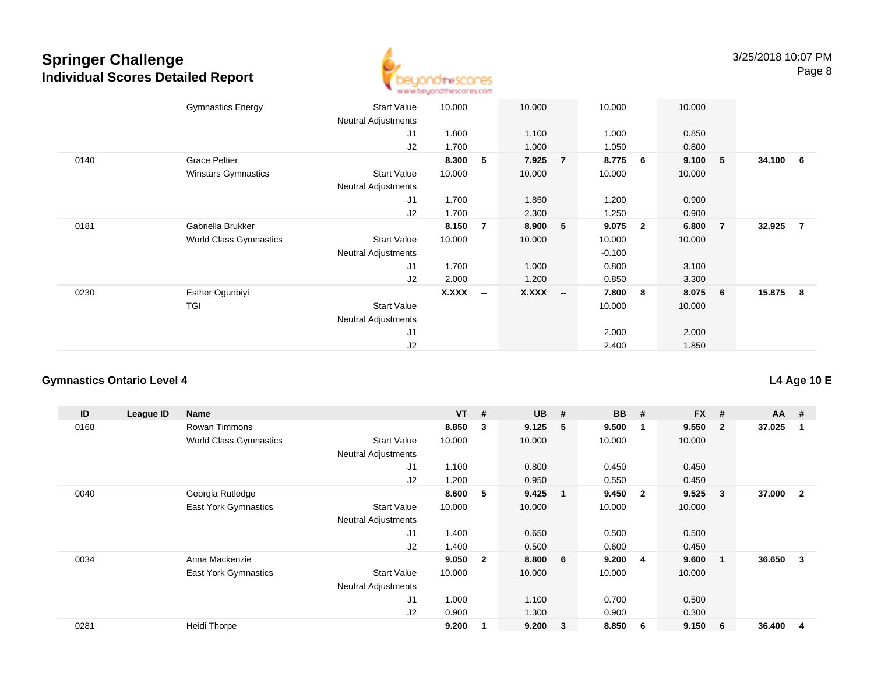

|      | <b>Gymnastics Energy</b>      | <b>Start Value</b><br><b>Neutral Adjustments</b> | 10.000 |                          | 10.000       |                          | 10.000   |                | 10.000 |                |          |  |
|------|-------------------------------|--------------------------------------------------|--------|--------------------------|--------------|--------------------------|----------|----------------|--------|----------------|----------|--|
|      |                               | J1                                               | 1.800  |                          | 1.100        |                          | 1.000    |                | 0.850  |                |          |  |
|      |                               | J2                                               | 1.700  |                          | 1.000        |                          | 1.050    |                | 0.800  |                |          |  |
| 0140 | <b>Grace Peltier</b>          |                                                  | 8.300  | 5                        | 7.925        | $\overline{7}$           | 8.775    | 6              | 9.100  | 5              | 34.100 6 |  |
|      | <b>Winstars Gymnastics</b>    | <b>Start Value</b>                               | 10.000 |                          | 10.000       |                          | 10.000   |                | 10.000 |                |          |  |
|      |                               | <b>Neutral Adjustments</b>                       |        |                          |              |                          |          |                |        |                |          |  |
|      |                               | J1                                               | 1.700  |                          | 1.850        |                          | 1.200    |                | 0.900  |                |          |  |
|      |                               | J2                                               | 1.700  |                          | 2.300        |                          | 1.250    |                | 0.900  |                |          |  |
| 0181 | Gabriella Brukker             |                                                  | 8.150  | $\overline{7}$           | 8.900        | 5                        | 9.075    | $\overline{2}$ | 6.800  | $\overline{7}$ | 32.925 7 |  |
|      | <b>World Class Gymnastics</b> | Start Value                                      | 10.000 |                          | 10.000       |                          | 10.000   |                | 10.000 |                |          |  |
|      |                               | <b>Neutral Adjustments</b>                       |        |                          |              |                          | $-0.100$ |                |        |                |          |  |
|      |                               | J1                                               | 1.700  |                          | 1.000        |                          | 0.800    |                | 3.100  |                |          |  |
|      |                               | J2                                               | 2.000  |                          | 1.200        |                          | 0.850    |                | 3.300  |                |          |  |
| 0230 | Esther Ogunbiyi               |                                                  | X.XXX  | $\overline{\phantom{a}}$ | <b>X.XXX</b> | $\overline{\phantom{a}}$ | 7.800    | 8              | 8.075  | 6              | 15.875 8 |  |
|      | TGI                           | <b>Start Value</b>                               |        |                          |              |                          | 10.000   |                | 10.000 |                |          |  |
|      |                               | <b>Neutral Adjustments</b>                       |        |                          |              |                          |          |                |        |                |          |  |
|      |                               | J <sub>1</sub>                                   |        |                          |              |                          | 2.000    |                | 2.000  |                |          |  |
|      |                               | J2                                               |        |                          |              |                          | 2.400    |                | 1.850  |                |          |  |

### **Gymnastics Ontario Level 4**

| ID   | League ID | Name                          |                            | <b>VT</b> | #              | <b>UB</b> | #                       | <b>BB</b> | #            | <b>FX</b> | #              | $AA$ # |                |
|------|-----------|-------------------------------|----------------------------|-----------|----------------|-----------|-------------------------|-----------|--------------|-----------|----------------|--------|----------------|
| 0168 |           | Rowan Timmons                 |                            | 8.850     | 3              | 9.125     | 5                       | 9.500     | 1            | 9.550     | $\overline{2}$ | 37.025 |                |
|      |           | <b>World Class Gymnastics</b> | <b>Start Value</b>         | 10.000    |                | 10.000    |                         | 10.000    |              | 10.000    |                |        |                |
|      |           |                               | <b>Neutral Adjustments</b> |           |                |           |                         |           |              |           |                |        |                |
|      |           |                               | J <sub>1</sub>             | 1.100     |                | 0.800     |                         | 0.450     |              | 0.450     |                |        |                |
|      |           |                               | J2                         | 1.200     |                | 0.950     |                         | 0.550     |              | 0.450     |                |        |                |
| 0040 |           | Georgia Rutledge              |                            | 8.600     | 5              | 9.425     | - 1                     | 9.450     | $\mathbf{2}$ | 9.525     | 3              | 37.000 | $\overline{2}$ |
|      |           | <b>East York Gymnastics</b>   | <b>Start Value</b>         | 10.000    |                | 10.000    |                         | 10.000    |              | 10.000    |                |        |                |
|      |           |                               | <b>Neutral Adjustments</b> |           |                |           |                         |           |              |           |                |        |                |
|      |           |                               | J <sub>1</sub>             | 1.400     |                | 0.650     |                         | 0.500     |              | 0.500     |                |        |                |
|      |           |                               | J2                         | 1.400     |                | 0.500     |                         | 0.600     |              | 0.450     |                |        |                |
| 0034 |           | Anna Mackenzie                |                            | 9.050     | $\overline{2}$ | 8.800     | - 6                     | 9.200     | -4           | 9.600     |                | 36.650 | 3              |
|      |           | <b>East York Gymnastics</b>   | <b>Start Value</b>         | 10.000    |                | 10.000    |                         | 10.000    |              | 10.000    |                |        |                |
|      |           |                               | <b>Neutral Adjustments</b> |           |                |           |                         |           |              |           |                |        |                |
|      |           |                               | J <sub>1</sub>             | 1.000     |                | 1.100     |                         | 0.700     |              | 0.500     |                |        |                |
|      |           |                               | J2                         | 0.900     |                | 1.300     |                         | 0.900     |              | 0.300     |                |        |                |
| 0281 |           | Heidi Thorpe                  |                            | 9.200     |                | 9.200     | $\overline{\mathbf{3}}$ | 8.850     | -6           | 9.150     | 6              | 36.400 | 4              |

### **L4 Age 10 E**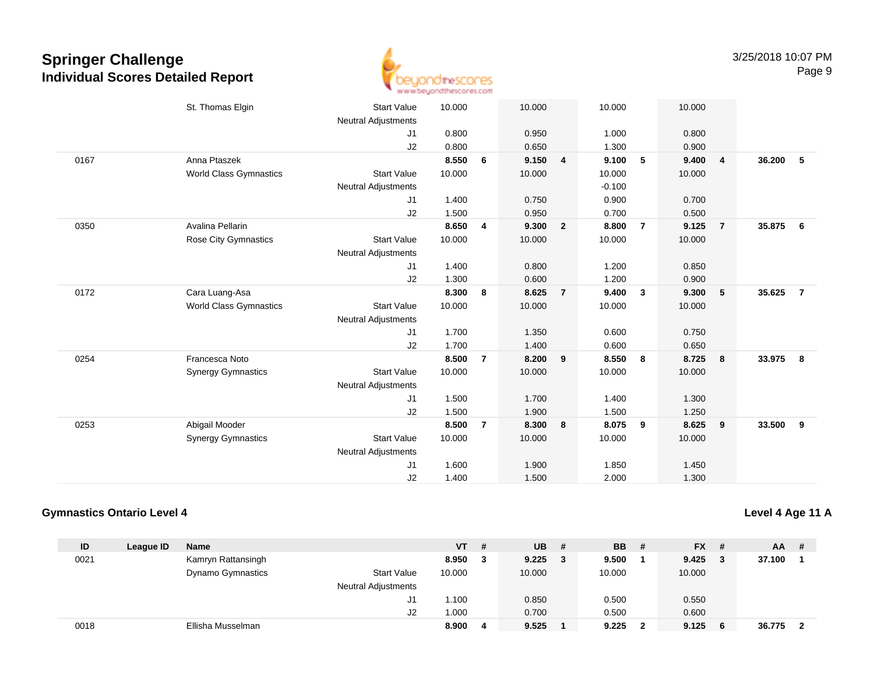

|      | St. Thomas Elgin              | <b>Start Value</b><br><b>Neutral Adjustments</b> | 10.000 |                         | 10.000 |                | 10.000   |                         | 10.000 |                |        |                |
|------|-------------------------------|--------------------------------------------------|--------|-------------------------|--------|----------------|----------|-------------------------|--------|----------------|--------|----------------|
|      |                               | J1                                               | 0.800  |                         | 0.950  |                | 1.000    |                         | 0.800  |                |        |                |
|      |                               | J2                                               | 0.800  |                         | 0.650  |                | 1.300    |                         | 0.900  |                |        |                |
| 0167 | Anna Ptaszek                  |                                                  | 8.550  | 6                       | 9.150  | 4              | 9.100    | 5                       | 9.400  | $\overline{4}$ | 36.200 | 5              |
|      | <b>World Class Gymnastics</b> | <b>Start Value</b>                               | 10.000 |                         | 10.000 |                | 10.000   |                         | 10.000 |                |        |                |
|      |                               | <b>Neutral Adjustments</b>                       |        |                         |        |                | $-0.100$ |                         |        |                |        |                |
|      |                               | J1                                               | 1.400  |                         | 0.750  |                | 0.900    |                         | 0.700  |                |        |                |
|      |                               | J2                                               | 1.500  |                         | 0.950  |                | 0.700    |                         | 0.500  |                |        |                |
| 0350 | Avalina Pellarin              |                                                  | 8.650  | $\overline{\mathbf{4}}$ | 9.300  | $\overline{2}$ | 8.800    | $\overline{7}$          | 9.125  | $\overline{7}$ | 35.875 | 6              |
|      | Rose City Gymnastics          | <b>Start Value</b>                               | 10.000 |                         | 10.000 |                | 10.000   |                         | 10.000 |                |        |                |
|      |                               | <b>Neutral Adjustments</b>                       |        |                         |        |                |          |                         |        |                |        |                |
|      |                               | J1                                               | 1.400  |                         | 0.800  |                | 1.200    |                         | 0.850  |                |        |                |
|      |                               | J2                                               | 1.300  |                         | 0.600  |                | 1.200    |                         | 0.900  |                |        |                |
| 0172 | Cara Luang-Asa                |                                                  | 8.300  | 8                       | 8.625  | $\overline{7}$ | 9.400    | $\overline{\mathbf{3}}$ | 9.300  | 5              | 35.625 | $\overline{7}$ |
|      | <b>World Class Gymnastics</b> | <b>Start Value</b>                               | 10.000 |                         | 10.000 |                | 10.000   |                         | 10.000 |                |        |                |
|      |                               | <b>Neutral Adjustments</b>                       |        |                         |        |                |          |                         |        |                |        |                |
|      |                               | J1                                               | 1.700  |                         | 1.350  |                | 0.600    |                         | 0.750  |                |        |                |
|      |                               | J <sub>2</sub>                                   | 1.700  |                         | 1.400  |                | 0.600    |                         | 0.650  |                |        |                |
| 0254 | Francesca Noto                |                                                  | 8.500  | $\overline{7}$          | 8.200  | 9              | 8.550    | 8                       | 8.725  | 8              | 33.975 | 8              |
|      | <b>Synergy Gymnastics</b>     | <b>Start Value</b>                               | 10.000 |                         | 10.000 |                | 10.000   |                         | 10.000 |                |        |                |
|      |                               | <b>Neutral Adjustments</b>                       |        |                         |        |                |          |                         |        |                |        |                |
|      |                               | J1                                               | 1.500  |                         | 1.700  |                | 1.400    |                         | 1.300  |                |        |                |
|      |                               | J2                                               | 1.500  |                         | 1.900  |                | 1.500    |                         | 1.250  |                |        |                |
| 0253 | Abigail Mooder                |                                                  | 8.500  | $\overline{7}$          | 8.300  | 8              | 8.075    | 9                       | 8.625  | 9              | 33.500 | 9              |
|      | <b>Synergy Gymnastics</b>     | <b>Start Value</b>                               | 10.000 |                         | 10.000 |                | 10.000   |                         | 10.000 |                |        |                |
|      |                               | <b>Neutral Adjustments</b>                       |        |                         |        |                |          |                         |        |                |        |                |
|      |                               | J <sub>1</sub>                                   | 1.600  |                         | 1.900  |                | 1.850    |                         | 1.450  |                |        |                |
|      |                               | J2                                               | 1.400  |                         | 1.500  |                | 2.000    |                         | 1.300  |                |        |                |
|      |                               |                                                  |        |                         |        |                |          |                         |        |                |        |                |

#### **Gymnastics Ontario Level 4**

**Level 4 Age 11 A**

| ID   | League ID | <b>Name</b>              |                            | <b>VT</b> | # | <b>UB</b> | -# | <b>BB</b> | - # | <b>FX</b> | - # | AA.    | -#  |
|------|-----------|--------------------------|----------------------------|-----------|---|-----------|----|-----------|-----|-----------|-----|--------|-----|
| 0021 |           | Kamryn Rattansingh       |                            | 8.950     | 3 | 9.225     | 3  | 9.500     |     | 9.425     |     | 37.100 |     |
|      |           | <b>Dynamo Gymnastics</b> | <b>Start Value</b>         | 10.000    |   | 10.000    |    | 10.000    |     | 10.000    |     |        |     |
|      |           |                          | <b>Neutral Adjustments</b> |           |   |           |    |           |     |           |     |        |     |
|      |           |                          | J1                         | 1.100     |   | 0.850     |    | 0.500     |     | 0.550     |     |        |     |
|      |           |                          | J2                         | 1.000     |   | 0.700     |    | 0.500     |     | 0.600     |     |        |     |
| 0018 |           | Ellisha Musselman        |                            | 8.900     | 4 | 9.525     |    | 9.225     | າ   | 9.125     | - 6 | 36.775 | - 2 |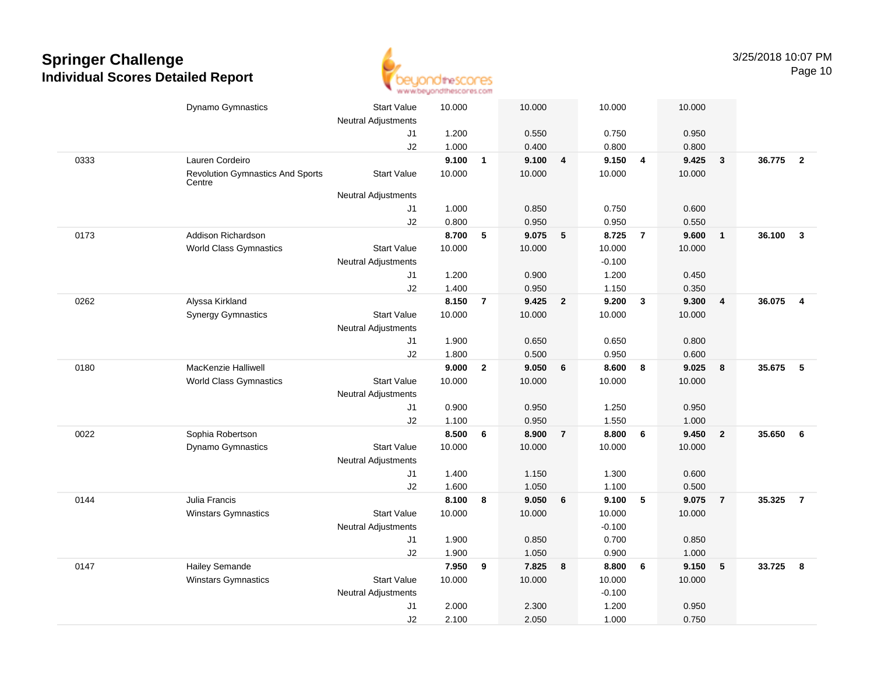

|      | Dynamo Gymnastics                                 | <b>Start Value</b>         | 10.000 |                | 10.000 |                         | 10.000   |                         | 10.000 |                         |        |                         |
|------|---------------------------------------------------|----------------------------|--------|----------------|--------|-------------------------|----------|-------------------------|--------|-------------------------|--------|-------------------------|
|      |                                                   | Neutral Adjustments        |        |                |        |                         |          |                         |        |                         |        |                         |
|      |                                                   | J1                         | 1.200  |                | 0.550  |                         | 0.750    |                         | 0.950  |                         |        |                         |
|      |                                                   | J2                         | 1.000  |                | 0.400  |                         | 0.800    |                         | 0.800  |                         |        |                         |
| 0333 | Lauren Cordeiro                                   |                            | 9.100  | $\mathbf{1}$   | 9.100  | $\overline{\mathbf{4}}$ | 9.150    | $\overline{4}$          | 9.425  | $\overline{\mathbf{3}}$ | 36.775 | $\overline{\mathbf{2}}$ |
|      | <b>Revolution Gymnastics And Sports</b><br>Centre | <b>Start Value</b>         | 10.000 |                | 10.000 |                         | 10.000   |                         | 10.000 |                         |        |                         |
|      |                                                   | <b>Neutral Adjustments</b> |        |                |        |                         |          |                         |        |                         |        |                         |
|      |                                                   | J1                         | 1.000  |                | 0.850  |                         | 0.750    |                         | 0.600  |                         |        |                         |
|      |                                                   | J2                         | 0.800  |                | 0.950  |                         | 0.950    |                         | 0.550  |                         |        |                         |
| 0173 | Addison Richardson                                |                            | 8.700  | $\sqrt{5}$     | 9.075  | 5                       | 8.725    | $\overline{7}$          | 9.600  | $\overline{1}$          | 36.100 | $\mathbf{3}$            |
|      | <b>World Class Gymnastics</b>                     | <b>Start Value</b>         | 10.000 |                | 10.000 |                         | 10.000   |                         | 10.000 |                         |        |                         |
|      |                                                   | <b>Neutral Adjustments</b> |        |                |        |                         | $-0.100$ |                         |        |                         |        |                         |
|      |                                                   | J1                         | 1.200  |                | 0.900  |                         | 1.200    |                         | 0.450  |                         |        |                         |
|      |                                                   | J2                         | 1.400  |                | 0.950  |                         | 1.150    |                         | 0.350  |                         |        |                         |
| 0262 | Alyssa Kirkland                                   |                            | 8.150  | $\overline{7}$ | 9.425  | $\overline{\mathbf{2}}$ | 9.200    | $\overline{\mathbf{3}}$ | 9.300  | $\overline{4}$          | 36.075 | $\overline{\mathbf{4}}$ |
|      | <b>Synergy Gymnastics</b>                         | <b>Start Value</b>         | 10.000 |                | 10.000 |                         | 10.000   |                         | 10.000 |                         |        |                         |
|      |                                                   | <b>Neutral Adjustments</b> |        |                |        |                         |          |                         |        |                         |        |                         |
|      |                                                   | J1                         | 1.900  |                | 0.650  |                         | 0.650    |                         | 0.800  |                         |        |                         |
|      |                                                   | J2                         | 1.800  |                | 0.500  |                         | 0.950    |                         | 0.600  |                         |        |                         |
| 0180 | MacKenzie Halliwell                               |                            | 9.000  | $\overline{2}$ | 9.050  | 6                       | 8.600    | 8                       | 9.025  | 8                       | 35.675 | - 5                     |
|      | <b>World Class Gymnastics</b>                     | <b>Start Value</b>         | 10.000 |                | 10.000 |                         | 10.000   |                         | 10.000 |                         |        |                         |
|      |                                                   | Neutral Adjustments        |        |                |        |                         |          |                         |        |                         |        |                         |
|      |                                                   | J1                         | 0.900  |                | 0.950  |                         | 1.250    |                         | 0.950  |                         |        |                         |
|      |                                                   | J2                         | 1.100  |                | 0.950  |                         | 1.550    |                         | 1.000  |                         |        |                         |
| 0022 | Sophia Robertson                                  |                            | 8.500  | 6              | 8.900  | $\overline{7}$          | 8.800    | 6                       | 9.450  | $\overline{2}$          | 35.650 | 6                       |
|      | Dynamo Gymnastics                                 | <b>Start Value</b>         | 10.000 |                | 10.000 |                         | 10.000   |                         | 10.000 |                         |        |                         |
|      |                                                   | <b>Neutral Adjustments</b> |        |                |        |                         |          |                         |        |                         |        |                         |
|      |                                                   | J1                         | 1.400  |                | 1.150  |                         | 1.300    |                         | 0.600  |                         |        |                         |
|      |                                                   | J2                         | 1.600  |                | 1.050  |                         | 1.100    |                         | 0.500  |                         |        |                         |
| 0144 | Julia Francis                                     |                            | 8.100  | 8              | 9.050  | $6\phantom{1}6$         | 9.100    | $\sqrt{5}$              | 9.075  | $\overline{7}$          | 35.325 | $\overline{7}$          |
|      | Winstars Gymnastics                               | <b>Start Value</b>         | 10.000 |                | 10.000 |                         | 10.000   |                         | 10.000 |                         |        |                         |
|      |                                                   | <b>Neutral Adjustments</b> |        |                |        |                         | $-0.100$ |                         |        |                         |        |                         |
|      |                                                   | J1                         | 1.900  |                | 0.850  |                         | 0.700    |                         | 0.850  |                         |        |                         |
|      |                                                   | J2                         | 1.900  |                | 1.050  |                         | 0.900    |                         | 1.000  |                         |        |                         |
| 0147 | <b>Hailey Semande</b>                             |                            | 7.950  | 9              | 7.825  | 8                       | 8.800    | 6                       | 9.150  | 5                       | 33.725 | 8                       |
|      | Winstars Gymnastics                               | <b>Start Value</b>         | 10.000 |                | 10.000 |                         | 10.000   |                         | 10.000 |                         |        |                         |
|      |                                                   | Neutral Adjustments        |        |                |        |                         | $-0.100$ |                         |        |                         |        |                         |
|      |                                                   | J1                         | 2.000  |                | 2.300  |                         | 1.200    |                         | 0.950  |                         |        |                         |
|      |                                                   | J2                         | 2.100  |                | 2.050  |                         | 1.000    |                         | 0.750  |                         |        |                         |
|      |                                                   |                            |        |                |        |                         |          |                         |        |                         |        |                         |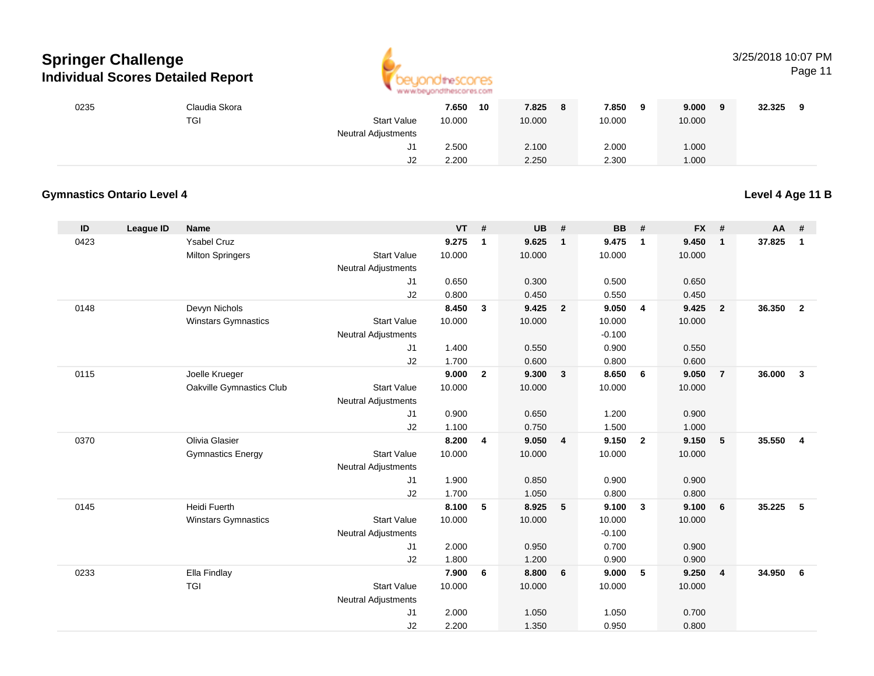

### 3/25/2018 10:07 PM

Page 11

| 0235 | Claudia Skora |                            | 7.650<br>10 | 7.825<br>8 | 7.850<br>9 | 9.000<br>- 9 | 32.325 |
|------|---------------|----------------------------|-------------|------------|------------|--------------|--------|
|      | <b>TGI</b>    | <b>Start Value</b>         | 10.000      | 10.000     | 10.000     | 10.000       |        |
|      |               | <b>Neutral Adjustments</b> |             |            |            |              |        |
|      |               | ا ب                        | 2.500       | 2.100      | 2.000      | 1.000        |        |
|      |               | J2                         | 2.200       | 2.250      | 2.300      | 1.000        |        |

### **Gymnastics Ontario Level 4**

**Level 4 Age 11 B**

| ID   | <b>League ID</b> | <b>Name</b>                |                            | $VT$ # |                | <b>UB</b> | #              | <b>BB</b> | #              | <b>FX</b> | #              | AA     | #              |
|------|------------------|----------------------------|----------------------------|--------|----------------|-----------|----------------|-----------|----------------|-----------|----------------|--------|----------------|
| 0423 |                  | <b>Ysabel Cruz</b>         |                            | 9.275  | $\mathbf{1}$   | 9.625     | $\mathbf{1}$   | 9.475     | $\mathbf{1}$   | 9.450     | $\mathbf{1}$   | 37.825 | $\mathbf{1}$   |
|      |                  | <b>Milton Springers</b>    | <b>Start Value</b>         | 10.000 |                | 10.000    |                | 10.000    |                | 10.000    |                |        |                |
|      |                  |                            | <b>Neutral Adjustments</b> |        |                |           |                |           |                |           |                |        |                |
|      |                  |                            | J1                         | 0.650  |                | 0.300     |                | 0.500     |                | 0.650     |                |        |                |
|      |                  |                            | J2                         | 0.800  |                | 0.450     |                | 0.550     |                | 0.450     |                |        |                |
| 0148 |                  | Devyn Nichols              |                            | 8.450  | $\mathbf{3}$   | 9.425     | $\overline{2}$ | 9.050     | 4              | 9.425     | $\overline{2}$ | 36.350 | $\overline{2}$ |
|      |                  | <b>Winstars Gymnastics</b> | <b>Start Value</b>         | 10.000 |                | 10.000    |                | 10.000    |                | 10.000    |                |        |                |
|      |                  |                            | <b>Neutral Adjustments</b> |        |                |           |                | $-0.100$  |                |           |                |        |                |
|      |                  |                            | J1                         | 1.400  |                | 0.550     |                | 0.900     |                | 0.550     |                |        |                |
|      |                  |                            | J2                         | 1.700  |                | 0.600     |                | 0.800     |                | 0.600     |                |        |                |
| 0115 |                  | Joelle Krueger             |                            | 9.000  | $\overline{2}$ | 9.300     | $\mathbf{3}$   | 8.650     | 6              | 9.050     | $\overline{7}$ | 36.000 | $\mathbf{3}$   |
|      |                  | Oakville Gymnastics Club   | <b>Start Value</b>         | 10.000 |                | 10.000    |                | 10.000    |                | 10.000    |                |        |                |
|      |                  |                            | <b>Neutral Adjustments</b> |        |                |           |                |           |                |           |                |        |                |
|      |                  |                            | J1                         | 0.900  |                | 0.650     |                | 1.200     |                | 0.900     |                |        |                |
|      |                  |                            | J2                         | 1.100  |                | 0.750     |                | 1.500     |                | 1.000     |                |        |                |
| 0370 |                  | Olivia Glasier             |                            | 8.200  | 4              | 9.050     | $\overline{4}$ | 9.150     | $\overline{2}$ | 9.150     | 5              | 35.550 | $\overline{4}$ |
|      |                  | <b>Gymnastics Energy</b>   | <b>Start Value</b>         | 10.000 |                | 10.000    |                | 10.000    |                | 10.000    |                |        |                |
|      |                  |                            | <b>Neutral Adjustments</b> |        |                |           |                |           |                |           |                |        |                |
|      |                  |                            | J1                         | 1.900  |                | 0.850     |                | 0.900     |                | 0.900     |                |        |                |
|      |                  |                            | J2                         | 1.700  |                | 1.050     |                | 0.800     |                | 0.800     |                |        |                |
| 0145 |                  | <b>Heidi Fuerth</b>        |                            | 8.100  | 5              | 8.925     | 5              | 9.100     | $\mathbf{3}$   | 9.100     | 6              | 35.225 | 5              |
|      |                  | <b>Winstars Gymnastics</b> | <b>Start Value</b>         | 10.000 |                | 10.000    |                | 10.000    |                | 10.000    |                |        |                |
|      |                  |                            | <b>Neutral Adjustments</b> |        |                |           |                | $-0.100$  |                |           |                |        |                |
|      |                  |                            | J1                         | 2.000  |                | 0.950     |                | 0.700     |                | 0.900     |                |        |                |
|      |                  |                            | J2                         | 1.800  |                | 1.200     |                | 0.900     |                | 0.900     |                |        |                |
| 0233 |                  | Ella Findlay               |                            | 7.900  | 6              | 8.800     | 6              | 9.000     | 5              | 9.250     | $\overline{4}$ | 34.950 | 6              |
|      |                  | <b>TGI</b>                 | <b>Start Value</b>         | 10.000 |                | 10.000    |                | 10.000    |                | 10.000    |                |        |                |
|      |                  |                            | <b>Neutral Adjustments</b> |        |                |           |                |           |                |           |                |        |                |
|      |                  |                            | J1                         | 2.000  |                | 1.050     |                | 1.050     |                | 0.700     |                |        |                |
|      |                  |                            | J2                         | 2.200  |                | 1.350     |                | 0.950     |                | 0.800     |                |        |                |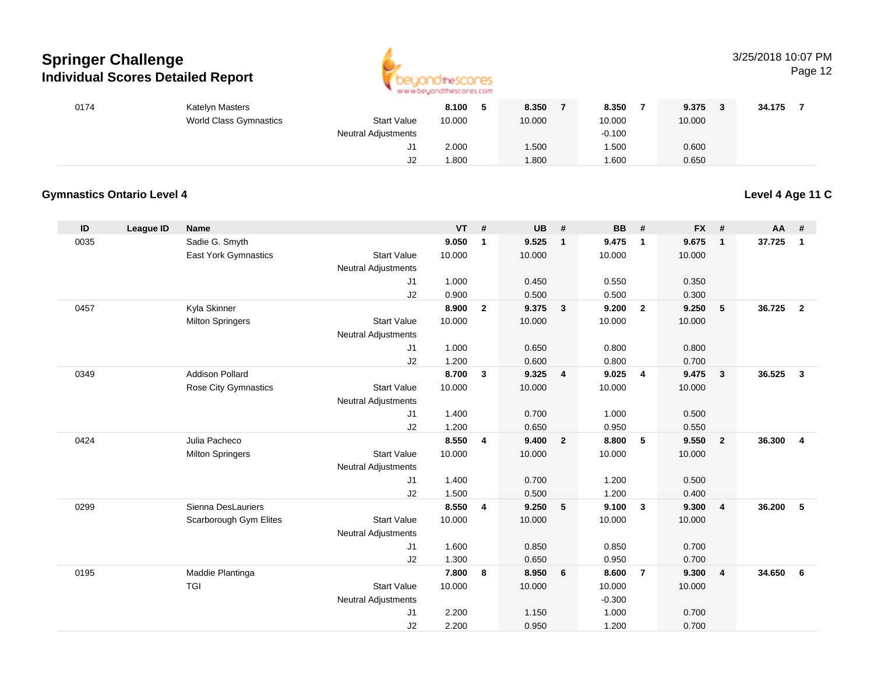

### 3/25/2018 10:07 PM

Page 12

| 0174 | Katelyn Masters        |                     | 8.100  | 8.350  | 8.350    | 9.375  | 34.175 |
|------|------------------------|---------------------|--------|--------|----------|--------|--------|
|      | World Class Gymnastics | <b>Start Value</b>  | 10.000 | 10.000 | 10.000   | 10.000 |        |
|      |                        | Neutral Adjustments |        |        | $-0.100$ |        |        |
|      |                        | J1                  | 2.000  | 1.500  | .500     | 0.600  |        |
|      |                        | J2                  | .800   | 1.800  | .600     | 0.650  |        |

### **Gymnastics Ontario Level 4**

**Level 4 Age 11 C**

| ID   | <b>League ID</b> | <b>Name</b>                 |                            | <b>VT</b> | #              | <b>UB</b> | #              | <b>BB</b> | #                       | <b>FX</b> | #              | AA     | #              |
|------|------------------|-----------------------------|----------------------------|-----------|----------------|-----------|----------------|-----------|-------------------------|-----------|----------------|--------|----------------|
| 0035 |                  | Sadie G. Smyth              |                            | 9.050     | $\mathbf{1}$   | 9.525     | $\mathbf{1}$   | 9.475     | $\overline{1}$          | 9.675     | $\mathbf{1}$   | 37.725 | $\mathbf{1}$   |
|      |                  | East York Gymnastics        | <b>Start Value</b>         | 10.000    |                | 10.000    |                | 10.000    |                         | 10.000    |                |        |                |
|      |                  |                             | <b>Neutral Adjustments</b> |           |                |           |                |           |                         |           |                |        |                |
|      |                  |                             | J1                         | 1.000     |                | 0.450     |                | 0.550     |                         | 0.350     |                |        |                |
|      |                  |                             | J2                         | 0.900     |                | 0.500     |                | 0.500     |                         | 0.300     |                |        |                |
| 0457 |                  | Kyla Skinner                |                            | 8.900     | $\overline{2}$ | 9.375     | 3              | 9.200     | $\overline{2}$          | 9.250     | 5              | 36.725 | $\overline{2}$ |
|      |                  | <b>Milton Springers</b>     | <b>Start Value</b>         | 10.000    |                | 10.000    |                | 10.000    |                         | 10.000    |                |        |                |
|      |                  |                             | <b>Neutral Adjustments</b> |           |                |           |                |           |                         |           |                |        |                |
|      |                  |                             | J1                         | 1.000     |                | 0.650     |                | 0.800     |                         | 0.800     |                |        |                |
|      |                  |                             | J2                         | 1.200     |                | 0.600     |                | 0.800     |                         | 0.700     |                |        |                |
| 0349 |                  | <b>Addison Pollard</b>      |                            | 8.700     | 3              | 9.325     | 4              | 9.025     | $\overline{4}$          | 9.475     | $\mathbf{3}$   | 36.525 | $\mathbf{3}$   |
|      |                  | <b>Rose City Gymnastics</b> | <b>Start Value</b>         | 10.000    |                | 10.000    |                | 10.000    |                         | 10.000    |                |        |                |
|      |                  |                             | <b>Neutral Adjustments</b> |           |                |           |                |           |                         |           |                |        |                |
|      |                  |                             | J1                         | 1.400     |                | 0.700     |                | 1.000     |                         | 0.500     |                |        |                |
|      |                  |                             | J2                         | 1.200     |                | 0.650     |                | 0.950     |                         | 0.550     |                |        |                |
| 0424 |                  | Julia Pacheco               |                            | 8.550     | 4              | 9.400     | $\overline{2}$ | 8.800     | 5                       | 9.550     | $\overline{2}$ | 36,300 | $\overline{4}$ |
|      |                  | <b>Milton Springers</b>     | <b>Start Value</b>         | 10.000    |                | 10.000    |                | 10.000    |                         | 10.000    |                |        |                |
|      |                  |                             | <b>Neutral Adjustments</b> |           |                |           |                |           |                         |           |                |        |                |
|      |                  |                             | J1                         | 1.400     |                | 0.700     |                | 1.200     |                         | 0.500     |                |        |                |
|      |                  |                             | J2                         | 1.500     |                | 0.500     |                | 1.200     |                         | 0.400     |                |        |                |
| 0299 |                  | Sienna DesLauriers          |                            | 8.550     | 4              | 9.250     | 5              | 9.100     | $\overline{\mathbf{3}}$ | 9.300     | $\overline{4}$ | 36.200 | 5              |
|      |                  | Scarborough Gym Elites      | <b>Start Value</b>         | 10.000    |                | 10.000    |                | 10.000    |                         | 10.000    |                |        |                |
|      |                  |                             | <b>Neutral Adjustments</b> |           |                |           |                |           |                         |           |                |        |                |
|      |                  |                             | J1                         | 1.600     |                | 0.850     |                | 0.850     |                         | 0.700     |                |        |                |
|      |                  |                             | J2                         | 1.300     |                | 0.650     |                | 0.950     |                         | 0.700     |                |        |                |
| 0195 |                  | Maddie Plantinga            |                            | 7.800     | 8              | 8.950     | 6              | 8.600     | $\overline{7}$          | 9.300     | $\overline{4}$ | 34.650 | 6              |
|      |                  | <b>TGI</b>                  | <b>Start Value</b>         | 10.000    |                | 10.000    |                | 10.000    |                         | 10.000    |                |        |                |
|      |                  |                             | Neutral Adjustments        |           |                |           |                | $-0.300$  |                         |           |                |        |                |
|      |                  |                             | J1                         | 2.200     |                | 1.150     |                | 1.000     |                         | 0.700     |                |        |                |
|      |                  |                             | J2                         | 2.200     |                | 0.950     |                | 1.200     |                         | 0.700     |                |        |                |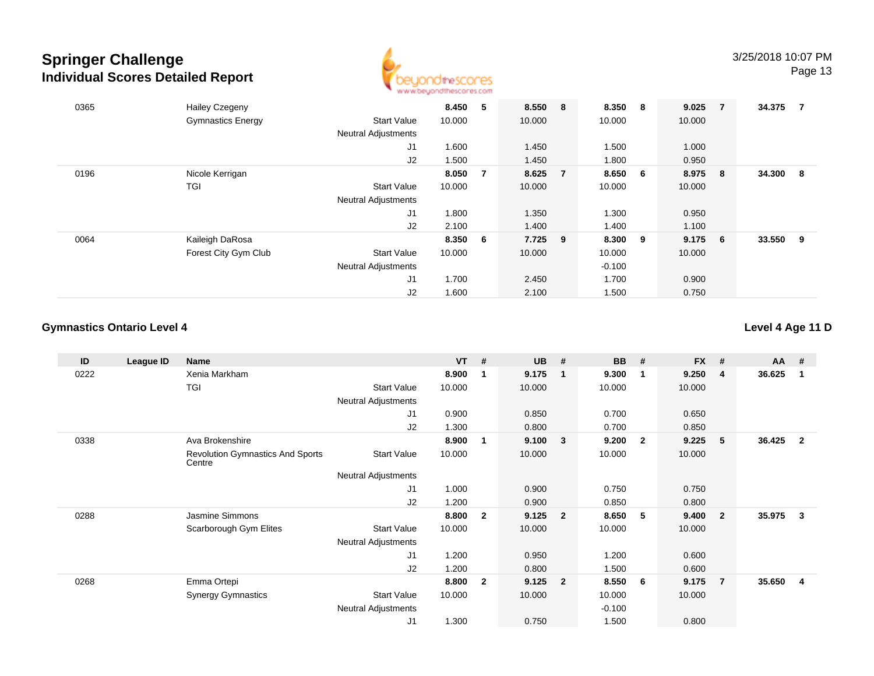

| 0365 | <b>Hailey Czegeny</b>    |                            | 8.450   | 5              | 8.550 8 |    | 8.350 8  |                | 9.025  | $\overline{7}$ | 34.375 | 7 |
|------|--------------------------|----------------------------|---------|----------------|---------|----|----------|----------------|--------|----------------|--------|---|
|      | <b>Gymnastics Energy</b> | <b>Start Value</b>         | 10.000  |                | 10.000  |    | 10.000   |                | 10.000 |                |        |   |
|      |                          | <b>Neutral Adjustments</b> |         |                |         |    |          |                |        |                |        |   |
|      |                          | J <sub>1</sub>             | 1.600   |                | 1.450   |    | 1.500    |                | 1.000  |                |        |   |
|      |                          | J2                         | 1.500   |                | 1.450   |    | 1.800    |                | 0.950  |                |        |   |
| 0196 | Nicole Kerrigan          |                            | 8.050   | $\overline{7}$ | 8.625   | -7 | 8.650    | 6 <sup>6</sup> | 8.975  | - 8            | 34.300 | 8 |
|      | TGI                      | <b>Start Value</b>         | 10.000  |                | 10.000  |    | 10.000   |                | 10.000 |                |        |   |
|      |                          | <b>Neutral Adjustments</b> |         |                |         |    |          |                |        |                |        |   |
|      |                          | J <sub>1</sub>             | 1.800   |                | 1.350   |    | 1.300    |                | 0.950  |                |        |   |
|      |                          | J2                         | 2.100   |                | 1.400   |    | 1.400    |                | 1.100  |                |        |   |
| 0064 | Kaileigh DaRosa          |                            | 8.350 6 |                | 7.725 9 |    | 8.300    | - 9            | 9.175  | - 6            | 33.550 | 9 |
|      | Forest City Gym Club     | <b>Start Value</b>         | 10.000  |                | 10.000  |    | 10.000   |                | 10.000 |                |        |   |
|      |                          | <b>Neutral Adjustments</b> |         |                |         |    | $-0.100$ |                |        |                |        |   |
|      |                          | J <sub>1</sub>             | 1.700   |                | 2.450   |    | 1.700    |                | 0.900  |                |        |   |
|      |                          | J2                         | 1.600   |                | 2.100   |    | 1.500    |                | 0.750  |                |        |   |

### **Gymnastics Ontario Level 4**

**Level 4 Age 11 D**

| ID   | League ID | <b>Name</b>                                       |                     | <b>VT</b> | #            | <b>UB</b> | #                       | <b>BB</b> | -#                      | <b>FX</b> | #                       | <b>AA</b> | #              |
|------|-----------|---------------------------------------------------|---------------------|-----------|--------------|-----------|-------------------------|-----------|-------------------------|-----------|-------------------------|-----------|----------------|
| 0222 |           | Xenia Markham                                     |                     | 8.900     | 1            | 9.175     | $\overline{\mathbf{1}}$ | 9.300     | $\overline{\mathbf{1}}$ | 9.250     | -4                      | 36.625    | -1             |
|      |           | <b>TGI</b>                                        | <b>Start Value</b>  | 10.000    |              | 10.000    |                         | 10.000    |                         | 10.000    |                         |           |                |
|      |           |                                                   | Neutral Adjustments |           |              |           |                         |           |                         |           |                         |           |                |
|      |           |                                                   | J1                  | 0.900     |              | 0.850     |                         | 0.700     |                         | 0.650     |                         |           |                |
|      |           |                                                   | J <sub>2</sub>      | 1.300     |              | 0.800     |                         | 0.700     |                         | 0.850     |                         |           |                |
| 0338 |           | Ava Brokenshire                                   |                     | 8.900     | 1            | 9.100     | 3                       | 9.200     | $\overline{\mathbf{2}}$ | 9.225     | -5                      | 36.425    | $\overline{2}$ |
|      |           | <b>Revolution Gymnastics And Sports</b><br>Centre | <b>Start Value</b>  | 10.000    |              | 10.000    |                         | 10.000    |                         | 10.000    |                         |           |                |
|      |           |                                                   | Neutral Adjustments |           |              |           |                         |           |                         |           |                         |           |                |
|      |           |                                                   | J1                  | 1.000     |              | 0.900     |                         | 0.750     |                         | 0.750     |                         |           |                |
|      |           |                                                   | J2                  | 1.200     |              | 0.900     |                         | 0.850     |                         | 0.800     |                         |           |                |
| 0288 |           | Jasmine Simmons                                   |                     | 8.800     | $\mathbf{2}$ | 9.125     | $\overline{2}$          | 8.650     | 5                       | 9.400     | $\overline{\mathbf{2}}$ | 35.975    | 3              |
|      |           | Scarborough Gym Elites                            | <b>Start Value</b>  | 10.000    |              | 10.000    |                         | 10.000    |                         | 10.000    |                         |           |                |
|      |           |                                                   | Neutral Adjustments |           |              |           |                         |           |                         |           |                         |           |                |
|      |           |                                                   | J1                  | 1.200     |              | 0.950     |                         | 1.200     |                         | 0.600     |                         |           |                |
|      |           |                                                   | J2                  | 1.200     |              | 0.800     |                         | 1.500     |                         | 0.600     |                         |           |                |
| 0268 |           | Emma Ortepi                                       |                     | 8.800     | $\mathbf{2}$ | 9.125     | $\overline{2}$          | 8.550     | $6\overline{6}$         | 9.175     | -7                      | 35.650    | 4              |
|      |           | <b>Synergy Gymnastics</b>                         | <b>Start Value</b>  | 10.000    |              | 10.000    |                         | 10.000    |                         | 10.000    |                         |           |                |
|      |           |                                                   | Neutral Adjustments |           |              |           |                         | $-0.100$  |                         |           |                         |           |                |
|      |           |                                                   | J <sub>1</sub>      | 1.300     |              | 0.750     |                         | 1.500     |                         | 0.800     |                         |           |                |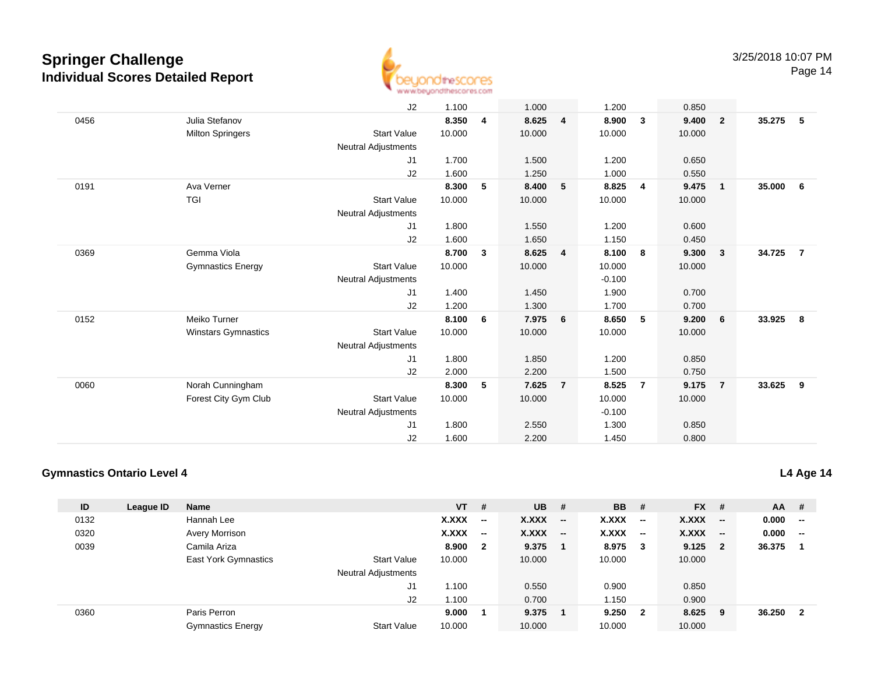

Page 14

|                            | J2                         | 1.100  |   | 1.000  |                | 1.200    |                | 0.850  |                         |                                  |                         |
|----------------------------|----------------------------|--------|---|--------|----------------|----------|----------------|--------|-------------------------|----------------------------------|-------------------------|
| Julia Stefanov             |                            | 8.350  | 4 | 8.625  | 4              | 8.900    | 3              | 9.400  | $\overline{2}$          |                                  |                         |
| <b>Milton Springers</b>    | <b>Start Value</b>         | 10.000 |   | 10.000 |                | 10.000   |                | 10.000 |                         |                                  |                         |
|                            | <b>Neutral Adjustments</b> |        |   |        |                |          |                |        |                         |                                  |                         |
|                            | J1                         | 1.700  |   | 1.500  |                | 1.200    |                | 0.650  |                         |                                  |                         |
|                            | J2                         | 1.600  |   | 1.250  |                | 1.000    |                | 0.550  |                         |                                  |                         |
| Ava Verner                 |                            | 8.300  | 5 | 8.400  | 5              | 8.825    | 4              | 9.475  |                         | 35.000                           | 6                       |
| <b>TGI</b>                 | <b>Start Value</b>         | 10.000 |   | 10.000 |                | 10.000   |                | 10.000 |                         |                                  |                         |
|                            | <b>Neutral Adjustments</b> |        |   |        |                |          |                |        |                         |                                  |                         |
|                            | J1                         | 1.800  |   | 1.550  |                | 1.200    |                | 0.600  |                         |                                  |                         |
|                            | J2                         | 1.600  |   | 1.650  |                | 1.150    |                | 0.450  |                         |                                  |                         |
| Gemma Viola                |                            | 8.700  | 3 | 8.625  | 4              | 8.100    | 8              | 9.300  | $\overline{\mathbf{3}}$ | 34.725                           | $\overline{7}$          |
| <b>Gymnastics Energy</b>   | <b>Start Value</b>         | 10.000 |   | 10.000 |                | 10.000   |                | 10.000 |                         |                                  |                         |
|                            | <b>Neutral Adjustments</b> |        |   |        |                | $-0.100$ |                |        |                         |                                  |                         |
|                            | J1                         | 1.400  |   | 1.450  |                | 1.900    |                | 0.700  |                         |                                  |                         |
|                            | J2                         | 1.200  |   | 1.300  |                | 1.700    |                | 0.700  |                         |                                  |                         |
| Meiko Turner               |                            | 8.100  | 6 | 7.975  | 6              | 8.650    | 5              | 9.200  | 6                       | 33.925                           | $\overline{\mathbf{8}}$ |
| <b>Winstars Gymnastics</b> | <b>Start Value</b>         | 10.000 |   | 10.000 |                | 10.000   |                | 10.000 |                         |                                  |                         |
|                            | <b>Neutral Adjustments</b> |        |   |        |                |          |                |        |                         |                                  |                         |
|                            | J1                         | 1.800  |   | 1.850  |                | 1.200    |                | 0.850  |                         |                                  |                         |
|                            | J2                         | 2.000  |   | 2.200  |                | 1.500    |                | 0.750  |                         |                                  |                         |
| Norah Cunningham           |                            | 8.300  | 5 | 7.625  | $\overline{7}$ | 8.525    | $\overline{7}$ | 9.175  |                         | 33.625                           | $\overline{\mathbf{9}}$ |
| Forest City Gym Club       | <b>Start Value</b>         | 10.000 |   | 10.000 |                | 10.000   |                | 10.000 |                         |                                  |                         |
|                            | <b>Neutral Adjustments</b> |        |   |        |                | $-0.100$ |                |        |                         |                                  |                         |
|                            | J1                         | 1.800  |   | 2.550  |                | 1.300    |                | 0.850  |                         |                                  |                         |
|                            | J <sub>2</sub>             | 1.600  |   | 2.200  |                | 1.450    |                | 0.800  |                         |                                  |                         |
|                            |                            |        |   |        |                |          |                |        |                         | $\overline{1}$<br>$\overline{7}$ | 35.275 5                |

### **Gymnastics Ontario Level 4**

| ID   |           | <b>Name</b>                 |                            | $VT$ # |                          | <b>UB</b>    | #                        | <b>BB</b> | - #                      | $FX$ #    |                          | $AA$ # |                          |
|------|-----------|-----------------------------|----------------------------|--------|--------------------------|--------------|--------------------------|-----------|--------------------------|-----------|--------------------------|--------|--------------------------|
|      | League ID |                             |                            |        |                          |              |                          |           |                          |           |                          |        |                          |
| 0132 |           | Hannah Lee                  |                            | X.XXX  | $\overline{\phantom{a}}$ | X.XXX        | $\overline{\phantom{a}}$ | X.XXX     | $\overline{\phantom{a}}$ | X.XXX     | $\overline{\phantom{a}}$ | 0.000  | $\overline{\phantom{a}}$ |
| 0320 |           | Avery Morrison              |                            | X.XXX  | $\overline{\phantom{a}}$ | <b>X.XXX</b> | $\overline{\phantom{a}}$ | X.XXX     | $\overline{\phantom{a}}$ | $X.XXX$ - |                          | 0.000  | $\overline{\phantom{a}}$ |
| 0039 |           | Camila Ariza                |                            | 8.900  | $\mathbf{2}$             | 9.375        |                          | 8.975     | $\mathbf{3}$             | 9.125     | $\overline{\mathbf{2}}$  | 36.375 |                          |
|      |           | <b>East York Gymnastics</b> | <b>Start Value</b>         | 10.000 |                          | 10.000       |                          | 10.000    |                          | 10.000    |                          |        |                          |
|      |           |                             | <b>Neutral Adjustments</b> |        |                          |              |                          |           |                          |           |                          |        |                          |
|      |           |                             | J1                         | 1.100  |                          | 0.550        |                          | 0.900     |                          | 0.850     |                          |        |                          |
|      |           |                             | J2                         | 1.100  |                          | 0.700        |                          | 1.150     |                          | 0.900     |                          |        |                          |
| 0360 |           | Paris Perron                |                            | 9.000  |                          | 9.375        |                          | 9.250 2   |                          | 8.625     | - 9                      | 36.250 | $\overline{\mathbf{2}}$  |
|      |           | <b>Gymnastics Energy</b>    | <b>Start Value</b>         | 10.000 |                          | 10.000       |                          | 10.000    |                          | 10.000    |                          |        |                          |

**L4 Age 14**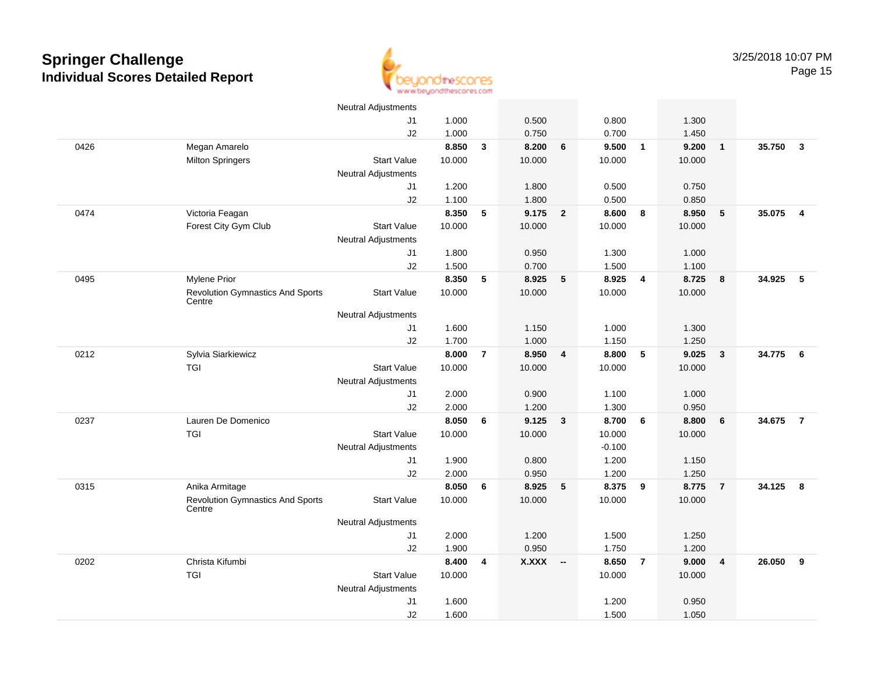

|      |                                                   | Neutral Adjustments        |        |                |              |                         |          |                         |        |                         |        |                         |
|------|---------------------------------------------------|----------------------------|--------|----------------|--------------|-------------------------|----------|-------------------------|--------|-------------------------|--------|-------------------------|
|      |                                                   | J1                         | 1.000  |                | 0.500        |                         | 0.800    |                         | 1.300  |                         |        |                         |
|      |                                                   | J2                         | 1.000  |                | 0.750        |                         | 0.700    |                         | 1.450  |                         |        |                         |
| 0426 | Megan Amarelo                                     |                            | 8.850  | $\mathbf{3}$   | 8.200        | $6\phantom{1}6$         | 9.500    | $\overline{\mathbf{1}}$ | 9.200  | $\mathbf{1}$            | 35.750 | $\overline{\mathbf{3}}$ |
|      | <b>Milton Springers</b>                           | <b>Start Value</b>         | 10.000 |                | 10.000       |                         | 10.000   |                         | 10.000 |                         |        |                         |
|      |                                                   | <b>Neutral Adjustments</b> |        |                |              |                         |          |                         |        |                         |        |                         |
|      |                                                   | J1                         | 1.200  |                | 1.800        |                         | 0.500    |                         | 0.750  |                         |        |                         |
|      |                                                   | J2                         | 1.100  |                | 1.800        |                         | 0.500    |                         | 0.850  |                         |        |                         |
| 0474 | Victoria Feagan                                   |                            | 8.350  | 5              | 9.175        | $\overline{2}$          | 8.600    | 8                       | 8.950  | 5                       | 35.075 | $\overline{4}$          |
|      | Forest City Gym Club                              | <b>Start Value</b>         | 10.000 |                | 10.000       |                         | 10.000   |                         | 10.000 |                         |        |                         |
|      |                                                   | <b>Neutral Adjustments</b> |        |                |              |                         |          |                         |        |                         |        |                         |
|      |                                                   | J1                         | 1.800  |                | 0.950        |                         | 1.300    |                         | 1.000  |                         |        |                         |
|      |                                                   | J2                         | 1.500  |                | 0.700        |                         | 1.500    |                         | 1.100  |                         |        |                         |
| 0495 | <b>Mylene Prior</b>                               |                            | 8.350  | 5              | 8.925        | $5\phantom{.0}$         | 8.925    | $\overline{4}$          | 8.725  | 8                       | 34.925 | 5                       |
|      | <b>Revolution Gymnastics And Sports</b><br>Centre | <b>Start Value</b>         | 10.000 |                | 10.000       |                         | 10.000   |                         | 10.000 |                         |        |                         |
|      |                                                   | Neutral Adjustments        |        |                |              |                         |          |                         |        |                         |        |                         |
|      |                                                   | J1                         | 1.600  |                | 1.150        |                         | 1.000    |                         | 1.300  |                         |        |                         |
|      |                                                   | J2                         | 1.700  |                | 1.000        |                         | 1.150    |                         | 1.250  |                         |        |                         |
| 0212 | Sylvia Siarkiewicz                                |                            | 8.000  | $\overline{7}$ | 8.950        | $\overline{4}$          | 8.800    | 5                       | 9.025  | $\mathbf{3}$            | 34.775 | $6\overline{6}$         |
|      | TGI                                               | <b>Start Value</b>         | 10.000 |                | 10.000       |                         | 10.000   |                         | 10.000 |                         |        |                         |
|      |                                                   | <b>Neutral Adjustments</b> |        |                |              |                         |          |                         |        |                         |        |                         |
|      |                                                   | J1                         | 2.000  |                | 0.900        |                         | 1.100    |                         | 1.000  |                         |        |                         |
|      |                                                   | J2                         | 2.000  |                | 1.200        |                         | 1.300    |                         | 0.950  |                         |        |                         |
| 0237 | Lauren De Domenico                                |                            | 8.050  | 6              | 9.125        | $\overline{\mathbf{3}}$ | 8.700    | 6                       | 8.800  | 6                       | 34.675 | $\overline{7}$          |
|      | <b>TGI</b>                                        | <b>Start Value</b>         | 10.000 |                | 10.000       |                         | 10.000   |                         | 10.000 |                         |        |                         |
|      |                                                   | Neutral Adjustments        |        |                |              |                         | $-0.100$ |                         |        |                         |        |                         |
|      |                                                   | J1                         | 1.900  |                | 0.800        |                         | 1.200    |                         | 1.150  |                         |        |                         |
|      |                                                   | J2                         | 2.000  |                | 0.950        |                         | 1.200    |                         | 1.250  |                         |        |                         |
| 0315 | Anika Armitage                                    |                            | 8.050  | 6              | 8.925        | $5\phantom{.0}$         | 8.375    | 9                       | 8.775  | $\overline{7}$          | 34.125 | 8                       |
|      | <b>Revolution Gymnastics And Sports</b><br>Centre | <b>Start Value</b>         | 10.000 |                | 10.000       |                         | 10.000   |                         | 10.000 |                         |        |                         |
|      |                                                   | <b>Neutral Adjustments</b> |        |                |              |                         |          |                         |        |                         |        |                         |
|      |                                                   | J1                         | 2.000  |                | 1.200        |                         | 1.500    |                         | 1.250  |                         |        |                         |
|      |                                                   | J2                         | 1.900  |                | 0.950        |                         | 1.750    |                         | 1.200  |                         |        |                         |
| 0202 | Christa Kifumbi                                   |                            | 8.400  | 4              | <b>X.XXX</b> | $\sim$                  | 8.650    | $\overline{7}$          | 9.000  | $\overline{\mathbf{4}}$ | 26.050 | 9                       |
|      | <b>TGI</b>                                        | <b>Start Value</b>         | 10.000 |                |              |                         | 10.000   |                         | 10.000 |                         |        |                         |
|      |                                                   | Neutral Adjustments        |        |                |              |                         |          |                         |        |                         |        |                         |
|      |                                                   | J1                         | 1.600  |                |              |                         | 1.200    |                         | 0.950  |                         |        |                         |
|      |                                                   | J2                         | 1.600  |                |              |                         | 1.500    |                         | 1.050  |                         |        |                         |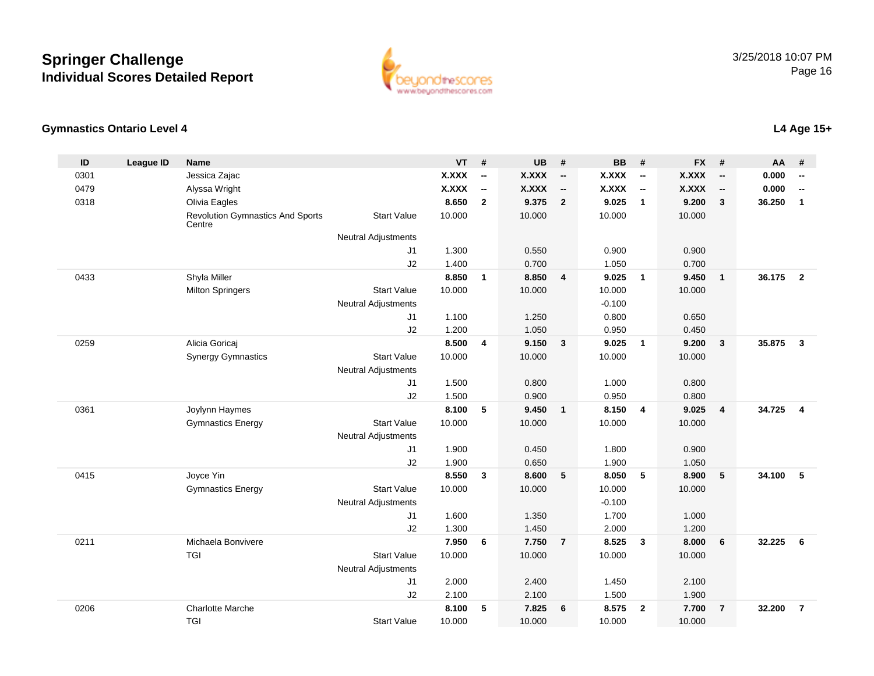

### **Gymnastics Ontario Level 4**

| ID   | <b>League ID</b> | <b>Name</b>                                       |                            | <b>VT</b>    | #                        | <b>UB</b>    | #                        | <b>BB</b>    | #                        | <b>FX</b>    | #                        | AA     | #                        |
|------|------------------|---------------------------------------------------|----------------------------|--------------|--------------------------|--------------|--------------------------|--------------|--------------------------|--------------|--------------------------|--------|--------------------------|
| 0301 |                  | Jessica Zajac                                     |                            | <b>X.XXX</b> | $\overline{\phantom{a}}$ | <b>X.XXX</b> | $\overline{\phantom{a}}$ | <b>X.XXX</b> | $\overline{\phantom{a}}$ | <b>X.XXX</b> | $\overline{\phantom{a}}$ | 0.000  | $\overline{\phantom{a}}$ |
| 0479 |                  | Alyssa Wright                                     |                            | <b>X.XXX</b> | $\overline{\phantom{a}}$ | <b>X.XXX</b> | $\overline{\phantom{a}}$ | X.XXX        | $\overline{\phantom{a}}$ | <b>X.XXX</b> | $\overline{\phantom{a}}$ | 0.000  | $\overline{\phantom{a}}$ |
| 0318 |                  | Olivia Eagles                                     |                            | 8.650        | $\overline{2}$           | 9.375        | $\overline{2}$           | 9.025        | $\mathbf{1}$             | 9.200        | $\mathbf{3}$             | 36.250 | $\mathbf{1}$             |
|      |                  | <b>Revolution Gymnastics And Sports</b><br>Centre | <b>Start Value</b>         | 10.000       |                          | 10.000       |                          | 10.000       |                          | 10.000       |                          |        |                          |
|      |                  |                                                   | <b>Neutral Adjustments</b> |              |                          |              |                          |              |                          |              |                          |        |                          |
|      |                  |                                                   | J1                         | 1.300        |                          | 0.550        |                          | 0.900        |                          | 0.900        |                          |        |                          |
|      |                  |                                                   | J2                         | 1.400        |                          | 0.700        |                          | 1.050        |                          | 0.700        |                          |        |                          |
| 0433 |                  | Shyla Miller                                      |                            | 8.850        | $\mathbf{1}$             | 8.850        | $\overline{4}$           | 9.025        | $\mathbf{1}$             | 9.450        | $\overline{1}$           | 36.175 | $\overline{2}$           |
|      |                  | <b>Milton Springers</b>                           | <b>Start Value</b>         | 10.000       |                          | 10.000       |                          | 10.000       |                          | 10.000       |                          |        |                          |
|      |                  |                                                   | <b>Neutral Adjustments</b> |              |                          |              |                          | $-0.100$     |                          |              |                          |        |                          |
|      |                  |                                                   | J <sub>1</sub>             | 1.100        |                          | 1.250        |                          | 0.800        |                          | 0.650        |                          |        |                          |
|      |                  |                                                   | J2                         | 1.200        |                          | 1.050        |                          | 0.950        |                          | 0.450        |                          |        |                          |
| 0259 |                  | Alicia Goricaj                                    |                            | 8.500        | 4                        | 9.150        | $\mathbf{3}$             | 9.025        | $\mathbf{1}$             | 9.200        | $\mathbf{3}$             | 35.875 | $\overline{\mathbf{3}}$  |
|      |                  | <b>Synergy Gymnastics</b>                         | <b>Start Value</b>         | 10.000       |                          | 10.000       |                          | 10.000       |                          | 10.000       |                          |        |                          |
|      |                  |                                                   | <b>Neutral Adjustments</b> |              |                          |              |                          |              |                          |              |                          |        |                          |
|      |                  |                                                   | J <sub>1</sub>             | 1.500        |                          | 0.800        |                          | 1.000        |                          | 0.800        |                          |        |                          |
|      |                  |                                                   | J2                         | 1.500        |                          | 0.900        |                          | 0.950        |                          | 0.800        |                          |        |                          |
| 0361 |                  | Joylynn Haymes                                    |                            | 8.100        | 5                        | 9.450        | $\overline{1}$           | 8.150        | $\overline{4}$           | 9.025        | $\overline{\mathbf{4}}$  | 34.725 | $\overline{4}$           |
|      |                  | <b>Gymnastics Energy</b>                          | <b>Start Value</b>         | 10.000       |                          | 10.000       |                          | 10.000       |                          | 10.000       |                          |        |                          |
|      |                  |                                                   | <b>Neutral Adjustments</b> |              |                          |              |                          |              |                          |              |                          |        |                          |
|      |                  |                                                   | J <sub>1</sub>             | 1.900        |                          | 0.450        |                          | 1.800        |                          | 0.900        |                          |        |                          |
|      |                  |                                                   | J2                         | 1.900        |                          | 0.650        |                          | 1.900        |                          | 1.050        |                          |        |                          |
| 0415 |                  | Joyce Yin                                         |                            | 8.550        | $\mathbf{3}$             | 8.600        | 5                        | 8.050        | 5                        | 8.900        | $\sqrt{5}$               | 34.100 | 5                        |
|      |                  | <b>Gymnastics Energy</b>                          | <b>Start Value</b>         | 10.000       |                          | 10.000       |                          | 10.000       |                          | 10.000       |                          |        |                          |
|      |                  |                                                   | <b>Neutral Adjustments</b> |              |                          |              |                          | $-0.100$     |                          |              |                          |        |                          |
|      |                  |                                                   | J1                         | 1.600        |                          | 1.350        |                          | 1.700        |                          | 1.000        |                          |        |                          |
|      |                  |                                                   | J2                         | 1.300        |                          | 1.450        |                          | 2.000        |                          | 1.200        |                          |        |                          |
| 0211 |                  | Michaela Bonvivere                                |                            | 7.950        | 6                        | 7.750        | $\overline{7}$           | 8.525        | 3                        | 8.000        | 6                        | 32.225 | 6                        |
|      |                  | TGI                                               | <b>Start Value</b>         | 10.000       |                          | 10.000       |                          | 10.000       |                          | 10.000       |                          |        |                          |
|      |                  |                                                   | <b>Neutral Adjustments</b> |              |                          |              |                          |              |                          |              |                          |        |                          |
|      |                  |                                                   | J <sub>1</sub>             | 2.000        |                          | 2.400        |                          | 1.450        |                          | 2.100        |                          |        |                          |
|      |                  |                                                   | J2                         | 2.100        |                          | 2.100        |                          | 1.500        |                          | 1.900        |                          |        |                          |
| 0206 |                  | <b>Charlotte Marche</b>                           |                            | 8.100        | 5                        | 7.825        | $6\phantom{1}6$          | 8.575        | $\overline{2}$           | 7.700        | $\overline{7}$           | 32.200 | $\overline{7}$           |
|      |                  | <b>TGI</b>                                        | <b>Start Value</b>         | 10.000       |                          | 10.000       |                          | 10.000       |                          | 10.000       |                          |        |                          |

**L4 Age 15+**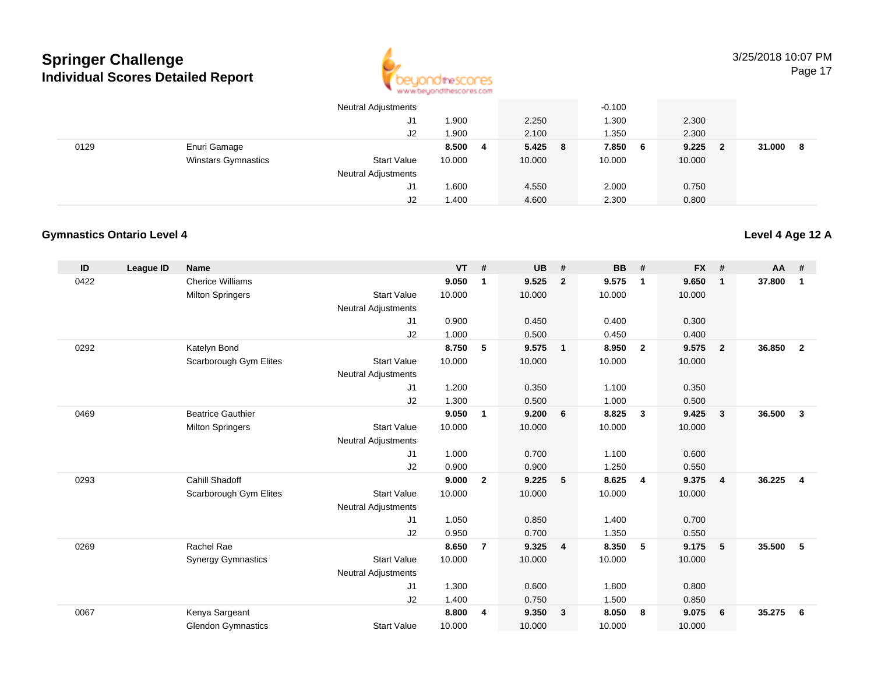

|      |                            | <b>Neutral Adjustments</b> |        |    |           | $-0.100$ |        |     |              |
|------|----------------------------|----------------------------|--------|----|-----------|----------|--------|-----|--------------|
|      |                            | J1                         | 1.900  |    | 2.250     | .300     | 2.300  |     |              |
|      |                            | J2                         | 1.900  |    | 2.100     | .350     | 2.300  |     |              |
| 0129 | Enuri Gamage               |                            | 8.500  | -4 | $5.425$ 8 | 7.850 6  | 9.225  | - 2 | 31.000<br>-8 |
|      | <b>Winstars Gymnastics</b> | <b>Start Value</b>         | 10.000 |    | 10.000    | 10.000   | 10.000 |     |              |
|      |                            | <b>Neutral Adjustments</b> |        |    |           |          |        |     |              |
|      |                            | J1                         | 1.600  |    | 4.550     | 2.000    | 0.750  |     |              |
|      |                            | J2                         | 1.400  |    | 4.600     | 2.300    | 0.800  |     |              |

### **Gymnastics Ontario Level 4**

| ID   | League ID | <b>Name</b>               |                            | <b>VT</b> | #              | <b>UB</b> | #                       | BB     | #                       | <b>FX</b> | #              | <b>AA</b> | #              |
|------|-----------|---------------------------|----------------------------|-----------|----------------|-----------|-------------------------|--------|-------------------------|-----------|----------------|-----------|----------------|
| 0422 |           | <b>Cherice Williams</b>   |                            | 9.050     | $\mathbf{1}$   | 9.525     | $\overline{2}$          | 9.575  | $\mathbf{1}$            | 9.650     | $\mathbf{1}$   | 37.800    | $\mathbf 1$    |
|      |           | <b>Milton Springers</b>   | <b>Start Value</b>         | 10.000    |                | 10.000    |                         | 10.000 |                         | 10.000    |                |           |                |
|      |           |                           | <b>Neutral Adjustments</b> |           |                |           |                         |        |                         |           |                |           |                |
|      |           |                           | J1                         | 0.900     |                | 0.450     |                         | 0.400  |                         | 0.300     |                |           |                |
|      |           |                           | J2                         | 1.000     |                | 0.500     |                         | 0.450  |                         | 0.400     |                |           |                |
| 0292 |           | Katelyn Bond              |                            | 8.750     | 5              | 9.575     | $\overline{\mathbf{1}}$ | 8.950  | $\overline{2}$          | 9.575     | $\overline{2}$ | 36.850    | $\overline{2}$ |
|      |           | Scarborough Gym Elites    | <b>Start Value</b>         | 10.000    |                | 10.000    |                         | 10.000 |                         | 10.000    |                |           |                |
|      |           |                           | <b>Neutral Adjustments</b> |           |                |           |                         |        |                         |           |                |           |                |
|      |           |                           | J <sub>1</sub>             | 1.200     |                | 0.350     |                         | 1.100  |                         | 0.350     |                |           |                |
|      |           |                           | J2                         | 1.300     |                | 0.500     |                         | 1.000  |                         | 0.500     |                |           |                |
| 0469 |           | <b>Beatrice Gauthier</b>  |                            | 9.050     | $\mathbf{1}$   | 9.200     | 6                       | 8.825  | $\overline{\mathbf{3}}$ | 9.425     | 3              | 36.500    | 3              |
|      |           | <b>Milton Springers</b>   | <b>Start Value</b>         | 10.000    |                | 10.000    |                         | 10.000 |                         | 10.000    |                |           |                |
|      |           |                           | <b>Neutral Adjustments</b> |           |                |           |                         |        |                         |           |                |           |                |
|      |           |                           | J1                         | 1.000     |                | 0.700     |                         | 1.100  |                         | 0.600     |                |           |                |
|      |           |                           | J2                         | 0.900     |                | 0.900     |                         | 1.250  |                         | 0.550     |                |           |                |
| 0293 |           | <b>Cahill Shadoff</b>     |                            | 9.000     | $\mathbf{2}$   | 9.225     | 5                       | 8.625  | $\overline{4}$          | 9.375     | 4              | 36.225    | $\overline{4}$ |
|      |           | Scarborough Gym Elites    | <b>Start Value</b>         | 10.000    |                | 10.000    |                         | 10.000 |                         | 10.000    |                |           |                |
|      |           |                           | <b>Neutral Adjustments</b> |           |                |           |                         |        |                         |           |                |           |                |
|      |           |                           | J1                         | 1.050     |                | 0.850     |                         | 1.400  |                         | 0.700     |                |           |                |
|      |           |                           | J2                         | 0.950     |                | 0.700     |                         | 1.350  |                         | 0.550     |                |           |                |
| 0269 |           | Rachel Rae                |                            | 8.650     | $\overline{7}$ | 9.325     | $\overline{4}$          | 8.350  | 5                       | 9.175     | 5              | 35.500    | 5              |
|      |           | <b>Synergy Gymnastics</b> | <b>Start Value</b>         | 10.000    |                | 10.000    |                         | 10.000 |                         | 10.000    |                |           |                |
|      |           |                           | <b>Neutral Adjustments</b> |           |                |           |                         |        |                         |           |                |           |                |
|      |           |                           | J1                         | 1.300     |                | 0.600     |                         | 1.800  |                         | 0.800     |                |           |                |
|      |           |                           | J2                         | 1.400     |                | 0.750     |                         | 1.500  |                         | 0.850     |                |           |                |
| 0067 |           | Kenya Sargeant            |                            | 8.800     | 4              | 9.350     | $\overline{\mathbf{3}}$ | 8.050  | - 8                     | 9.075     | 6              | 35.275    | 6              |
|      |           | <b>Glendon Gymnastics</b> | <b>Start Value</b>         | 10.000    |                | 10.000    |                         | 10.000 |                         | 10.000    |                |           |                |

**Level 4 Age 12 A**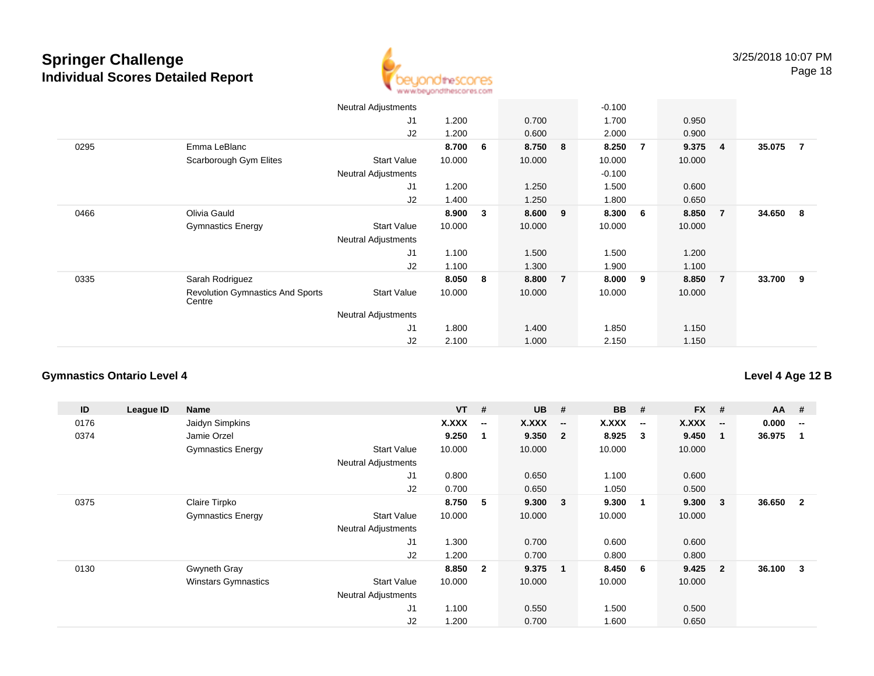

|      |                                                   | <b>Neutral Adjustments</b> |        |    |        |                | $-0.100$ |   |        |                |        |                |
|------|---------------------------------------------------|----------------------------|--------|----|--------|----------------|----------|---|--------|----------------|--------|----------------|
|      |                                                   | J1                         | 1.200  |    | 0.700  |                | 1.700    |   | 0.950  |                |        |                |
|      |                                                   | J2                         | 1.200  |    | 0.600  |                | 2.000    |   | 0.900  |                |        |                |
| 0295 | Emma LeBlanc                                      |                            | 8.700  | -6 | 8.750  | - 8            | 8.250    | 7 | 9.375  | $\overline{4}$ | 35.075 | $\overline{7}$ |
|      | Scarborough Gym Elites                            | <b>Start Value</b>         | 10.000 |    | 10.000 |                | 10.000   |   | 10.000 |                |        |                |
|      |                                                   | <b>Neutral Adjustments</b> |        |    |        |                | $-0.100$ |   |        |                |        |                |
|      |                                                   | J1                         | 1.200  |    | 1.250  |                | 1.500    |   | 0.600  |                |        |                |
|      |                                                   | J2                         | 1.400  |    | 1.250  |                | 1.800    |   | 0.650  |                |        |                |
| 0466 | Olivia Gauld                                      |                            | 8.900  | 3  | 8.600  | 9              | 8.300    | 6 | 8.850  | $\overline{7}$ | 34.650 | - 8            |
|      | <b>Gymnastics Energy</b>                          | <b>Start Value</b>         | 10.000 |    | 10.000 |                | 10.000   |   | 10.000 |                |        |                |
|      |                                                   | <b>Neutral Adjustments</b> |        |    |        |                |          |   |        |                |        |                |
|      |                                                   | J1                         | 1.100  |    | 1.500  |                | 1.500    |   | 1.200  |                |        |                |
|      |                                                   | J2                         | 1.100  |    | 1.300  |                | 1.900    |   | 1.100  |                |        |                |
| 0335 | Sarah Rodriguez                                   |                            | 8.050  | 8  | 8.800  | $\overline{7}$ | 8.000    | 9 | 8.850  | $\overline{7}$ | 33.700 | - 9            |
|      | <b>Revolution Gymnastics And Sports</b><br>Centre | <b>Start Value</b>         | 10.000 |    | 10.000 |                | 10.000   |   | 10.000 |                |        |                |
|      |                                                   | <b>Neutral Adjustments</b> |        |    |        |                |          |   |        |                |        |                |
|      |                                                   | J <sub>1</sub>             | 1.800  |    | 1.400  |                | 1.850    |   | 1.150  |                |        |                |
|      |                                                   | J2                         | 2.100  |    | 1.000  |                | 2.150    |   | 1.150  |                |        |                |

### **Gymnastics Ontario Level 4**

| ID   | League ID | Name                       |                            | $VT$ #       |                          | <b>UB</b> | #                        | <b>BB</b> | #                        | <b>FX</b> | #                        | AA #   |                          |
|------|-----------|----------------------------|----------------------------|--------------|--------------------------|-----------|--------------------------|-----------|--------------------------|-----------|--------------------------|--------|--------------------------|
| 0176 |           | Jaidyn Simpkins            |                            | <b>X.XXX</b> | $\overline{\phantom{a}}$ | X.XXX     | $\overline{\phantom{a}}$ | X.XXX     | $\overline{\phantom{a}}$ | X.XXX     | $\overline{\phantom{a}}$ | 0.000  | $\overline{\phantom{a}}$ |
| 0374 |           | Jamie Orzel                |                            | 9.250        |                          | 9.350     | $\overline{\mathbf{2}}$  | 8.925     | 3                        | 9.450     | -1                       | 36.975 |                          |
|      |           | <b>Gymnastics Energy</b>   | <b>Start Value</b>         | 10.000       |                          | 10.000    |                          | 10.000    |                          | 10.000    |                          |        |                          |
|      |           |                            | <b>Neutral Adjustments</b> |              |                          |           |                          |           |                          |           |                          |        |                          |
|      |           |                            | J1                         | 0.800        |                          | 0.650     |                          | 1.100     |                          | 0.600     |                          |        |                          |
|      |           |                            | J2                         | 0.700        |                          | 0.650     |                          | 1.050     |                          | 0.500     |                          |        |                          |
| 0375 |           | Claire Tirpko              |                            | 8.750        | 5                        | 9.300     | $\overline{\mathbf{3}}$  | 9.300     | $\overline{1}$           | 9.300     | 3                        | 36.650 | $\overline{2}$           |
|      |           | <b>Gymnastics Energy</b>   | <b>Start Value</b>         | 10.000       |                          | 10.000    |                          | 10.000    |                          | 10.000    |                          |        |                          |
|      |           |                            | <b>Neutral Adjustments</b> |              |                          |           |                          |           |                          |           |                          |        |                          |
|      |           |                            | J <sub>1</sub>             | 1.300        |                          | 0.700     |                          | 0.600     |                          | 0.600     |                          |        |                          |
|      |           |                            | J2                         | 1.200        |                          | 0.700     |                          | 0.800     |                          | 0.800     |                          |        |                          |
| 0130 |           | Gwyneth Gray               |                            | 8.850        | $\overline{\mathbf{2}}$  | 9.375     | $\overline{\mathbf{1}}$  | 8.450     | - 6                      | 9.425     | $\mathbf{2}$             | 36.100 | 3                        |
|      |           | <b>Winstars Gymnastics</b> | <b>Start Value</b>         | 10.000       |                          | 10.000    |                          | 10.000    |                          | 10.000    |                          |        |                          |
|      |           |                            | <b>Neutral Adjustments</b> |              |                          |           |                          |           |                          |           |                          |        |                          |
|      |           |                            | J <sub>1</sub>             | 1.100        |                          | 0.550     |                          | 1.500     |                          | 0.500     |                          |        |                          |
|      |           |                            | J <sub>2</sub>             | 1.200        |                          | 0.700     |                          | 1.600     |                          | 0.650     |                          |        |                          |

### **Level 4 Age 12 B**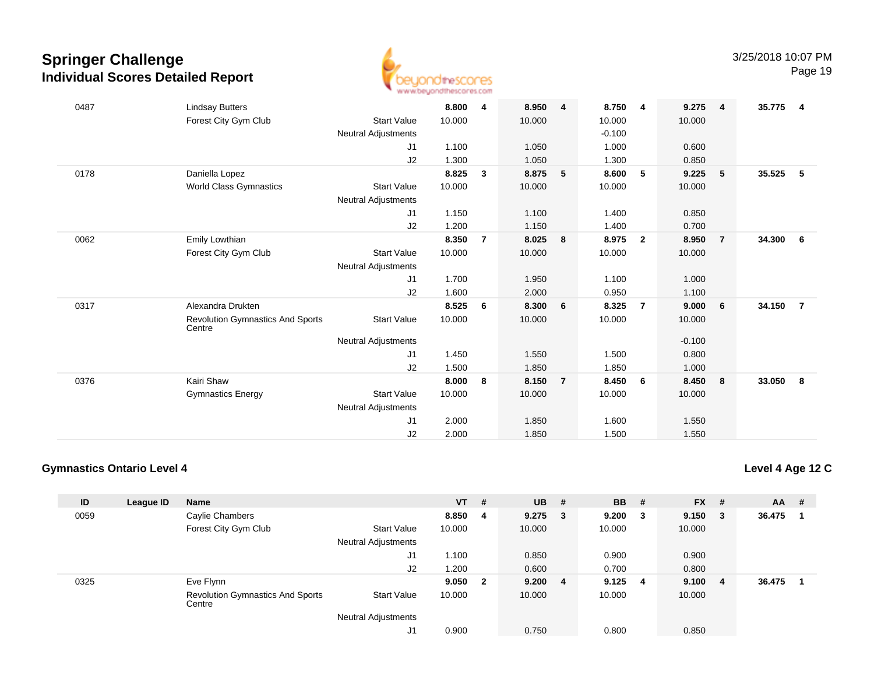

| 0487 | <b>Lindsay Butters</b>                            |                            | 8.800  | 4              | 8.950  | 4              | 8.750    | 4              | 9.275    | $\overline{\mathbf{4}}$ | 35.775 | $\overline{4}$ |
|------|---------------------------------------------------|----------------------------|--------|----------------|--------|----------------|----------|----------------|----------|-------------------------|--------|----------------|
|      | Forest City Gym Club                              | <b>Start Value</b>         | 10.000 |                | 10.000 |                | 10.000   |                | 10.000   |                         |        |                |
|      |                                                   | Neutral Adjustments        |        |                |        |                | $-0.100$ |                |          |                         |        |                |
|      |                                                   | J1                         | 1.100  |                | 1.050  |                | 1.000    |                | 0.600    |                         |        |                |
|      |                                                   | J2                         | 1.300  |                | 1.050  |                | 1.300    |                | 0.850    |                         |        |                |
| 0178 | Daniella Lopez                                    |                            | 8.825  | $\mathbf{3}$   | 8.875  | 5              | 8.600    | 5              | 9.225    | $5^{\circ}$             | 35.525 | - 5            |
|      | <b>World Class Gymnastics</b>                     | <b>Start Value</b>         | 10.000 |                | 10.000 |                | 10.000   |                | 10.000   |                         |        |                |
|      |                                                   | Neutral Adjustments        |        |                |        |                |          |                |          |                         |        |                |
|      |                                                   | J1                         | 1.150  |                | 1.100  |                | 1.400    |                | 0.850    |                         |        |                |
|      |                                                   | J2                         | 1.200  |                | 1.150  |                | 1.400    |                | 0.700    |                         |        |                |
| 0062 | Emily Lowthian                                    |                            | 8.350  | $\overline{7}$ | 8.025  | 8              | 8.975    | $\mathbf{2}$   | 8.950    | $\overline{7}$          | 34.300 | 6              |
|      | Forest City Gym Club                              | <b>Start Value</b>         | 10.000 |                | 10.000 |                | 10.000   |                | 10.000   |                         |        |                |
|      |                                                   | Neutral Adjustments        |        |                |        |                |          |                |          |                         |        |                |
|      |                                                   | J1                         | 1.700  |                | 1.950  |                | 1.100    |                | 1.000    |                         |        |                |
|      |                                                   | J2                         | 1.600  |                | 2.000  |                | 0.950    |                | 1.100    |                         |        |                |
| 0317 | Alexandra Drukten                                 |                            | 8.525  | 6              | 8.300  | 6              | 8.325    | $\overline{7}$ | 9.000    | $6\overline{6}$         | 34.150 | $\overline{7}$ |
|      | <b>Revolution Gymnastics And Sports</b><br>Centre | <b>Start Value</b>         | 10.000 |                | 10.000 |                | 10.000   |                | 10.000   |                         |        |                |
|      |                                                   | <b>Neutral Adjustments</b> |        |                |        |                |          |                | $-0.100$ |                         |        |                |
|      |                                                   | J <sub>1</sub>             | 1.450  |                | 1.550  |                | 1.500    |                | 0.800    |                         |        |                |
|      |                                                   | J2                         | 1.500  |                | 1.850  |                | 1.850    |                | 1.000    |                         |        |                |
| 0376 | Kairi Shaw                                        |                            | 8.000  | 8              | 8.150  | $\overline{7}$ | 8.450    | -6             | 8.450    | 8                       | 33.050 | $\bf{8}$       |
|      | <b>Gymnastics Energy</b>                          | <b>Start Value</b>         | 10.000 |                | 10.000 |                | 10.000   |                | 10.000   |                         |        |                |
|      |                                                   | <b>Neutral Adjustments</b> |        |                |        |                |          |                |          |                         |        |                |
|      |                                                   | J <sub>1</sub>             | 2.000  |                | 1.850  |                | 1.600    |                | 1.550    |                         |        |                |
|      |                                                   | J2                         | 2.000  |                | 1.850  |                | 1.500    |                | 1.550    |                         |        |                |

### **Gymnastics Ontario Level 4**

**Level 4 Age 12 C**

| ID   | League ID | <b>Name</b>                                       |                            | $VT$ # |                         | <b>UB</b> | - #            | <b>BB</b> | #  | <b>FX</b> | # | $AA$ # |  |
|------|-----------|---------------------------------------------------|----------------------------|--------|-------------------------|-----------|----------------|-----------|----|-----------|---|--------|--|
| 0059 |           | Caylie Chambers                                   |                            | 8.850  | -4                      | 9.275     | - 3            | 9.200     | -3 | 9.150     | 3 | 36.475 |  |
|      |           | Forest City Gym Club                              | <b>Start Value</b>         | 10.000 |                         | 10.000    |                | 10.000    |    | 10.000    |   |        |  |
|      |           |                                                   | <b>Neutral Adjustments</b> |        |                         |           |                |           |    |           |   |        |  |
|      |           |                                                   | J1                         | 1.100  |                         | 0.850     |                | 0.900     |    | 0.900     |   |        |  |
|      |           |                                                   | J2                         | 1.200  |                         | 0.600     |                | 0.700     |    | 0.800     |   |        |  |
| 0325 |           | Eve Flynn                                         |                            | 9.050  | $\overline{\mathbf{2}}$ | 9.200     | $\overline{4}$ | 9.125     | 4  | 9.100     | 4 | 36.475 |  |
|      |           | <b>Revolution Gymnastics And Sports</b><br>Centre | <b>Start Value</b>         | 10.000 |                         | 10.000    |                | 10.000    |    | 10.000    |   |        |  |
|      |           |                                                   | <b>Neutral Adjustments</b> |        |                         |           |                |           |    |           |   |        |  |
|      |           |                                                   | J1                         | 0.900  |                         | 0.750     |                | 0.800     |    | 0.850     |   |        |  |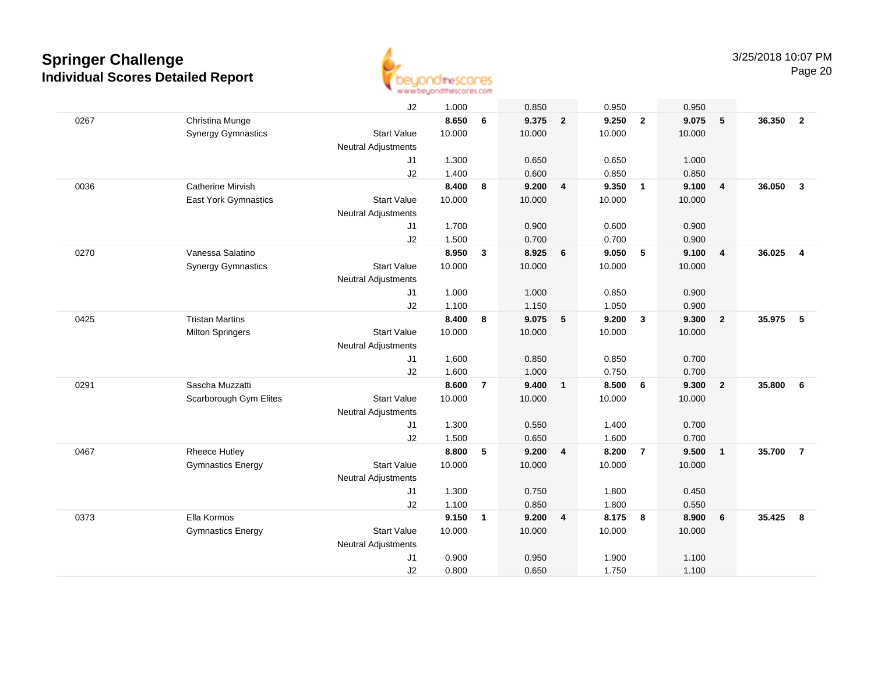

|      |                           | J2                         | 1.000  |                | 0.850   |                | 0.950  |                | 0.950  |                         |        |                |
|------|---------------------------|----------------------------|--------|----------------|---------|----------------|--------|----------------|--------|-------------------------|--------|----------------|
| 0267 | Christina Munge           |                            | 8.650  | 6              | 9.375 2 |                | 9.250  | $\overline{2}$ | 9.075  | 5                       | 36.350 | $\overline{2}$ |
|      | <b>Synergy Gymnastics</b> | <b>Start Value</b>         | 10.000 |                | 10.000  |                | 10.000 |                | 10.000 |                         |        |                |
|      |                           | <b>Neutral Adjustments</b> |        |                |         |                |        |                |        |                         |        |                |
|      |                           | J1                         | 1.300  |                | 0.650   |                | 0.650  |                | 1.000  |                         |        |                |
|      |                           | J2                         | 1.400  |                | 0.600   |                | 0.850  |                | 0.850  |                         |        |                |
| 0036 | <b>Catherine Mirvish</b>  |                            | 8.400  | 8              | 9.200   | $\overline{4}$ | 9.350  | $\overline{1}$ | 9.100  | $\overline{4}$          | 36.050 | $\mathbf{3}$   |
|      | East York Gymnastics      | <b>Start Value</b>         | 10.000 |                | 10.000  |                | 10.000 |                | 10.000 |                         |        |                |
|      |                           | <b>Neutral Adjustments</b> |        |                |         |                |        |                |        |                         |        |                |
|      |                           | J1                         | 1.700  |                | 0.900   |                | 0.600  |                | 0.900  |                         |        |                |
|      |                           | J2                         | 1.500  |                | 0.700   |                | 0.700  |                | 0.900  |                         |        |                |
| 0270 | Vanessa Salatino          |                            | 8.950  | $\mathbf{3}$   | 8.925   | 6              | 9.050  | 5              | 9.100  | $\overline{4}$          | 36.025 | $\overline{4}$ |
|      | <b>Synergy Gymnastics</b> | <b>Start Value</b>         | 10.000 |                | 10.000  |                | 10.000 |                | 10.000 |                         |        |                |
|      |                           | <b>Neutral Adjustments</b> |        |                |         |                |        |                |        |                         |        |                |
|      |                           | J1                         | 1.000  |                | 1.000   |                | 0.850  |                | 0.900  |                         |        |                |
|      |                           | J <sub>2</sub>             | 1.100  |                | 1.150   |                | 1.050  |                | 0.900  |                         |        |                |
| 0425 | <b>Tristan Martins</b>    |                            | 8.400  | 8              | 9.075   | 5              | 9.200  | $\mathbf{3}$   | 9.300  | $\overline{\mathbf{2}}$ | 35.975 | 5              |
|      | <b>Milton Springers</b>   | <b>Start Value</b>         | 10.000 |                | 10.000  |                | 10.000 |                | 10.000 |                         |        |                |
|      |                           | <b>Neutral Adjustments</b> |        |                |         |                |        |                |        |                         |        |                |
|      |                           | J1                         | 1.600  |                | 0.850   |                | 0.850  |                | 0.700  |                         |        |                |
|      |                           | J2                         | 1.600  |                | 1.000   |                | 0.750  |                | 0.700  |                         |        |                |
| 0291 | Sascha Muzzatti           |                            | 8.600  | $\overline{7}$ | 9.400   | $\overline{1}$ | 8.500  | 6              | 9.300  | $\overline{2}$          | 35.800 | 6              |
|      | Scarborough Gym Elites    | <b>Start Value</b>         | 10.000 |                | 10.000  |                | 10.000 |                | 10.000 |                         |        |                |
|      |                           | <b>Neutral Adjustments</b> |        |                |         |                |        |                |        |                         |        |                |
|      |                           | J1                         | 1.300  |                | 0.550   |                | 1.400  |                | 0.700  |                         |        |                |
|      |                           | J2                         | 1.500  |                | 0.650   |                | 1.600  |                | 0.700  |                         |        |                |
| 0467 | <b>Rheece Hutley</b>      |                            | 8.800  | 5              | 9.200   | $\overline{4}$ | 8.200  | $\overline{7}$ | 9.500  | $\overline{1}$          | 35.700 | $\overline{7}$ |
|      | <b>Gymnastics Energy</b>  | <b>Start Value</b>         | 10.000 |                | 10.000  |                | 10.000 |                | 10.000 |                         |        |                |
|      |                           | <b>Neutral Adjustments</b> |        |                |         |                |        |                |        |                         |        |                |
|      |                           | J1                         | 1.300  |                | 0.750   |                | 1.800  |                | 0.450  |                         |        |                |
|      |                           | J2                         | 1.100  |                | 0.850   |                | 1.800  |                | 0.550  |                         |        |                |
| 0373 | Ella Kormos               |                            | 9.150  | $\mathbf{1}$   | 9.200   | $\overline{4}$ | 8.175  | $\bf{8}$       | 8.900  | 6                       | 35.425 | 8              |
|      | <b>Gymnastics Energy</b>  | <b>Start Value</b>         | 10.000 |                | 10.000  |                | 10.000 |                | 10.000 |                         |        |                |
|      |                           | <b>Neutral Adjustments</b> |        |                |         |                |        |                |        |                         |        |                |
|      |                           | J <sub>1</sub>             | 0.900  |                | 0.950   |                | 1.900  |                | 1.100  |                         |        |                |
|      |                           | J2                         | 0.800  |                | 0.650   |                | 1.750  |                | 1.100  |                         |        |                |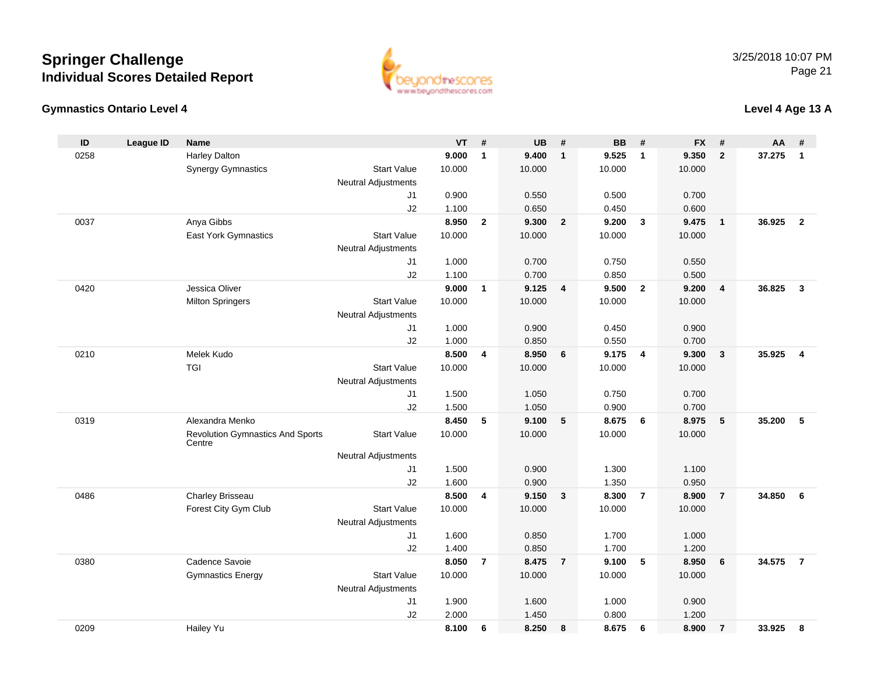### **Gymnastics Ontario Level 4**

ww.beyondthescores.com

### **Level 4 Age 13 A**

| ID   | League ID | <b>Name</b>                                       |                            | <b>VT</b> | #              | <b>UB</b> | #              | <b>BB</b> | #                       | <b>FX</b> | #              | AA     | #                       |
|------|-----------|---------------------------------------------------|----------------------------|-----------|----------------|-----------|----------------|-----------|-------------------------|-----------|----------------|--------|-------------------------|
| 0258 |           | <b>Harley Dalton</b>                              |                            | 9.000     | $\mathbf{1}$   | 9.400     | $\mathbf{1}$   | 9.525     | $\overline{1}$          | 9.350     | $\overline{2}$ | 37.275 | $\mathbf{1}$            |
|      |           | <b>Synergy Gymnastics</b>                         | <b>Start Value</b>         | 10.000    |                | 10.000    |                | 10.000    |                         | 10.000    |                |        |                         |
|      |           |                                                   | Neutral Adjustments        |           |                |           |                |           |                         |           |                |        |                         |
|      |           |                                                   | J1                         | 0.900     |                | 0.550     |                | 0.500     |                         | 0.700     |                |        |                         |
|      |           |                                                   | J2                         | 1.100     |                | 0.650     |                | 0.450     |                         | 0.600     |                |        |                         |
| 0037 |           | Anya Gibbs                                        |                            | 8.950     | $\overline{2}$ | 9.300     | $\overline{2}$ | 9.200     | $\overline{\mathbf{3}}$ | 9.475     | $\overline{1}$ | 36.925 | $\overline{2}$          |
|      |           | East York Gymnastics                              | <b>Start Value</b>         | 10.000    |                | 10.000    |                | 10.000    |                         | 10.000    |                |        |                         |
|      |           |                                                   | Neutral Adjustments        |           |                |           |                |           |                         |           |                |        |                         |
|      |           |                                                   | J1                         | 1.000     |                | 0.700     |                | 0.750     |                         | 0.550     |                |        |                         |
|      |           |                                                   | J2                         | 1.100     |                | 0.700     |                | 0.850     |                         | 0.500     |                |        |                         |
| 0420 |           | Jessica Oliver                                    |                            | 9.000     | $\mathbf{1}$   | 9.125     | $\overline{4}$ | 9.500     | $\overline{2}$          | 9.200     | $\overline{4}$ | 36.825 | $\mathbf{3}$            |
|      |           | <b>Milton Springers</b>                           | <b>Start Value</b>         | 10.000    |                | 10.000    |                | 10.000    |                         | 10.000    |                |        |                         |
|      |           |                                                   | <b>Neutral Adjustments</b> |           |                |           |                |           |                         |           |                |        |                         |
|      |           |                                                   | J1                         | 1.000     |                | 0.900     |                | 0.450     |                         | 0.900     |                |        |                         |
|      |           |                                                   | J2                         | 1.000     |                | 0.850     |                | 0.550     |                         | 0.700     |                |        |                         |
| 0210 |           | Melek Kudo                                        |                            | 8.500     | 4              | 8.950     | 6              | 9.175     | $\overline{4}$          | 9.300     | $\mathbf{3}$   | 35.925 | $\overline{\mathbf{4}}$ |
|      |           | <b>TGI</b>                                        | <b>Start Value</b>         | 10.000    |                | 10.000    |                | 10.000    |                         | 10.000    |                |        |                         |
|      |           |                                                   | <b>Neutral Adjustments</b> |           |                |           |                |           |                         |           |                |        |                         |
|      |           |                                                   | J1                         | 1.500     |                | 1.050     |                | 0.750     |                         | 0.700     |                |        |                         |
|      |           |                                                   | J2                         | 1.500     |                | 1.050     |                | 0.900     |                         | 0.700     |                |        |                         |
| 0319 |           | Alexandra Menko                                   |                            | 8.450     | 5              | 9.100     | $\sqrt{5}$     | 8.675     | 6                       | 8.975     | 5              | 35.200 | 5                       |
|      |           | <b>Revolution Gymnastics And Sports</b><br>Centre | <b>Start Value</b>         | 10.000    |                | 10.000    |                | 10.000    |                         | 10.000    |                |        |                         |
|      |           |                                                   | <b>Neutral Adjustments</b> |           |                |           |                |           |                         |           |                |        |                         |
|      |           |                                                   | J <sub>1</sub>             | 1.500     |                | 0.900     |                | 1.300     |                         | 1.100     |                |        |                         |
|      |           |                                                   | J2                         | 1.600     |                | 0.900     |                | 1.350     |                         | 0.950     |                |        |                         |
| 0486 |           | Charley Brisseau                                  |                            | 8.500     | 4              | 9.150     | $\overline{3}$ | 8.300     | $\overline{7}$          | 8.900     | $\overline{7}$ | 34.850 | 6                       |
|      |           | Forest City Gym Club                              | <b>Start Value</b>         | 10.000    |                | 10.000    |                | 10.000    |                         | 10.000    |                |        |                         |
|      |           |                                                   | Neutral Adjustments        |           |                |           |                |           |                         |           |                |        |                         |
|      |           |                                                   | J1                         | 1.600     |                | 0.850     |                | 1.700     |                         | 1.000     |                |        |                         |
|      |           |                                                   | J2                         | 1.400     |                | 0.850     |                | 1.700     |                         | 1.200     |                |        |                         |
| 0380 |           | Cadence Savoie                                    |                            | 8.050     | $\overline{7}$ | 8.475     | $\overline{7}$ | 9.100     | - 5                     | 8.950     | 6              | 34.575 | $\overline{7}$          |
|      |           | <b>Gymnastics Energy</b>                          | <b>Start Value</b>         | 10.000    |                | 10.000    |                | 10.000    |                         | 10.000    |                |        |                         |
|      |           |                                                   | <b>Neutral Adjustments</b> |           |                |           |                |           |                         |           |                |        |                         |
|      |           |                                                   | J <sub>1</sub>             | 1.900     |                | 1.600     |                | 1.000     |                         | 0.900     |                |        |                         |
|      |           |                                                   | J2                         | 2.000     |                | 1.450     |                | 0.800     |                         | 1.200     |                |        |                         |
| 0209 |           | Hailey Yu                                         |                            | 8.100     | 6              | 8.250     | 8              | 8.675     | 6                       | 8.900     | $\overline{7}$ | 33.925 | 8                       |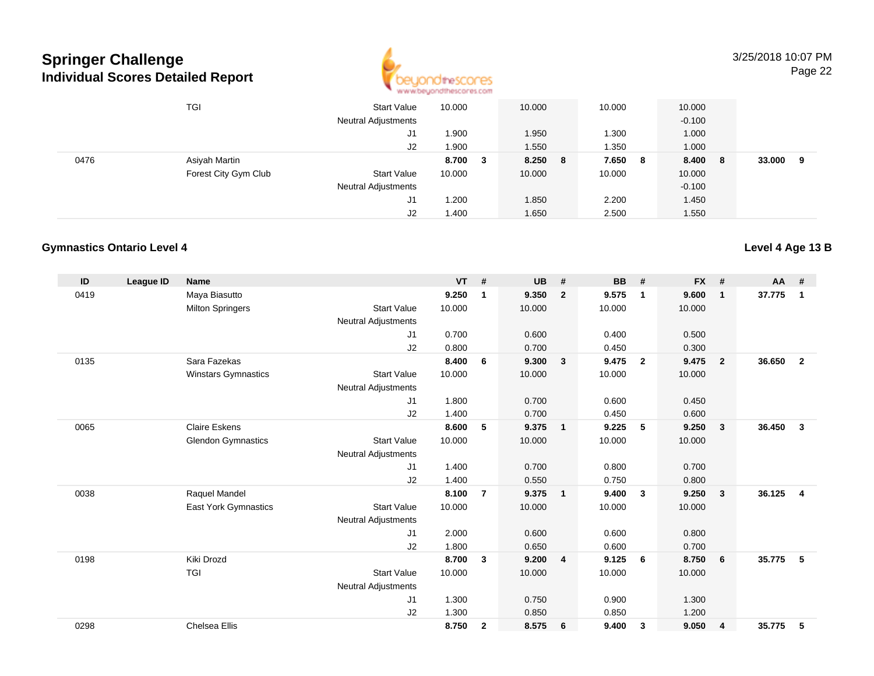

|      | TGI                  | <b>Start Value</b><br><b>Neutral Adjustments</b> | 10.000 | 10.000       | 10.000 | 10.000<br>$-0.100$  |             |
|------|----------------------|--------------------------------------------------|--------|--------------|--------|---------------------|-------------|
|      |                      | J1                                               | 1.900  | 1.950        | 1.300  | 1.000               |             |
|      |                      | J2                                               | 1.900  | 1.550        | 1.350  | 1.000               |             |
| 0476 | Asiyah Martin        |                                                  | 8.700  | 8.250 8<br>3 | 7.650  | 8.400<br>- 8<br>- 8 | 33.000<br>9 |
|      | Forest City Gym Club | <b>Start Value</b>                               | 10.000 | 10.000       | 10.000 | 10.000              |             |
|      |                      | <b>Neutral Adjustments</b>                       |        |              |        | $-0.100$            |             |
|      |                      | J1                                               | 1.200  | 1.850        | 2.200  | 1.450               |             |
|      |                      | J2                                               | 1.400  | 1.650        | 2.500  | 1.550               |             |

#### **Gymnastics Ontario Level 4**

| ID   | <b>League ID</b> | <b>Name</b>                 |                            | <b>VT</b> | #              | <b>UB</b> | #                       | <b>BB</b> | #              | <b>FX</b> | #                       | <b>AA</b> | #              |
|------|------------------|-----------------------------|----------------------------|-----------|----------------|-----------|-------------------------|-----------|----------------|-----------|-------------------------|-----------|----------------|
| 0419 |                  | Maya Biasutto               |                            | 9.250     | 1              | 9.350     | $\overline{2}$          | 9.575     | $\mathbf 1$    | 9.600     | $\mathbf{1}$            | 37.775    | 1              |
|      |                  | <b>Milton Springers</b>     | <b>Start Value</b>         | 10.000    |                | 10.000    |                         | 10.000    |                | 10.000    |                         |           |                |
|      |                  |                             | <b>Neutral Adjustments</b> |           |                |           |                         |           |                |           |                         |           |                |
|      |                  |                             | J1                         | 0.700     |                | 0.600     |                         | 0.400     |                | 0.500     |                         |           |                |
|      |                  |                             | J2                         | 0.800     |                | 0.700     |                         | 0.450     |                | 0.300     |                         |           |                |
| 0135 |                  | Sara Fazekas                |                            | 8.400     | 6              | 9.300     | $\overline{\mathbf{3}}$ | 9.475     | $\overline{2}$ | 9.475     | $\overline{2}$          | 36.650    | $\overline{2}$ |
|      |                  | Winstars Gymnastics         | <b>Start Value</b>         | 10.000    |                | 10.000    |                         | 10.000    |                | 10.000    |                         |           |                |
|      |                  |                             | <b>Neutral Adjustments</b> |           |                |           |                         |           |                |           |                         |           |                |
|      |                  |                             | J1                         | 1.800     |                | 0.700     |                         | 0.600     |                | 0.450     |                         |           |                |
|      |                  |                             | J2                         | 1.400     |                | 0.700     |                         | 0.450     |                | 0.600     |                         |           |                |
| 0065 |                  | <b>Claire Eskens</b>        |                            | 8.600     | 5              | 9.375     | $\overline{1}$          | 9.225     | 5              | 9.250     | $\mathbf{3}$            | 36.450    | $\mathbf{3}$   |
|      |                  | <b>Glendon Gymnastics</b>   | <b>Start Value</b>         | 10.000    |                | 10.000    |                         | 10.000    |                | 10.000    |                         |           |                |
|      |                  |                             | <b>Neutral Adjustments</b> |           |                |           |                         |           |                |           |                         |           |                |
|      |                  |                             | J1                         | 1.400     |                | 0.700     |                         | 0.800     |                | 0.700     |                         |           |                |
|      |                  |                             | J2                         | 1.400     |                | 0.550     |                         | 0.750     |                | 0.800     |                         |           |                |
| 0038 |                  | Raquel Mandel               |                            | 8.100     | $\overline{7}$ | 9.375     | $\overline{1}$          | 9.400     | $\mathbf{3}$   | 9.250     | $\mathbf{3}$            | 36.125    | $\overline{4}$ |
|      |                  | <b>East York Gymnastics</b> | <b>Start Value</b>         | 10.000    |                | 10.000    |                         | 10.000    |                | 10.000    |                         |           |                |
|      |                  |                             | <b>Neutral Adjustments</b> |           |                |           |                         |           |                |           |                         |           |                |
|      |                  |                             | J1                         | 2.000     |                | 0.600     |                         | 0.600     |                | 0.800     |                         |           |                |
|      |                  |                             | J2                         | 1.800     |                | 0.650     |                         | 0.600     |                | 0.700     |                         |           |                |
| 0198 |                  | Kiki Drozd                  |                            | 8.700     | 3              | 9.200     | $\overline{\mathbf{4}}$ | 9.125     | 6              | 8.750     | 6                       | 35.775    | 5              |
|      |                  | <b>TGI</b>                  | <b>Start Value</b>         | 10.000    |                | 10.000    |                         | 10.000    |                | 10.000    |                         |           |                |
|      |                  |                             | <b>Neutral Adjustments</b> |           |                |           |                         |           |                |           |                         |           |                |
|      |                  |                             | J <sub>1</sub>             | 1.300     |                | 0.750     |                         | 0.900     |                | 1.300     |                         |           |                |
|      |                  |                             | J2                         | 1.300     |                | 0.850     |                         | 0.850     |                | 1.200     |                         |           |                |
| 0298 |                  | Chelsea Ellis               |                            | 8.750     | $\mathbf{2}$   | 8.575     | 6                       | 9.400     | 3              | 9.050     | $\overline{\mathbf{4}}$ | 35.775    | 5              |

### **Level 4 Age 13 B**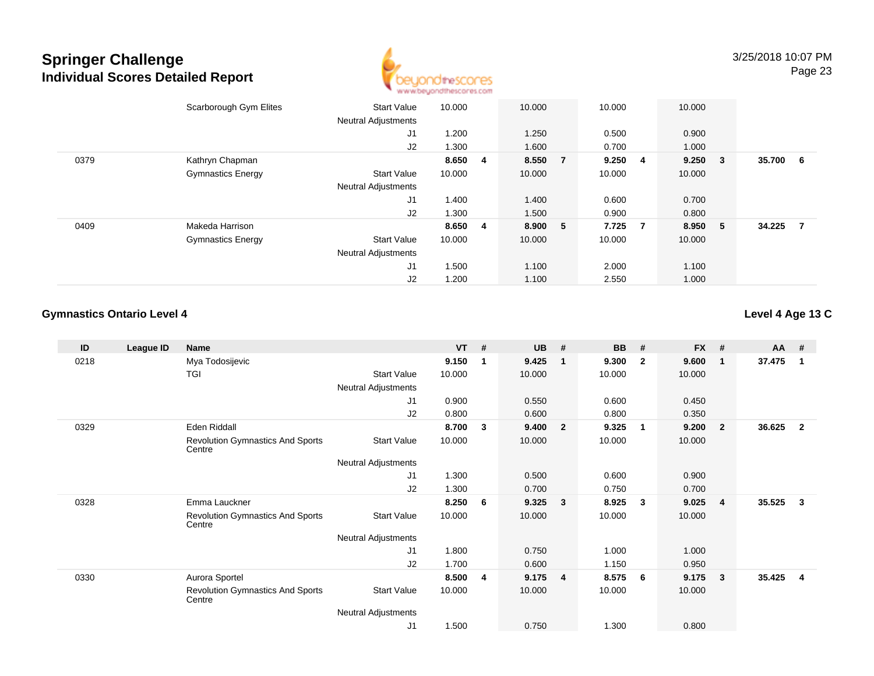

|      | Scarborough Gym Elites   | <b>Start Value</b><br><b>Neutral Adjustments</b> | 10.000  |                | 10.000  |                | 10.000  |                | 10.000  |        |        |                |
|------|--------------------------|--------------------------------------------------|---------|----------------|---------|----------------|---------|----------------|---------|--------|--------|----------------|
|      |                          | J1                                               | 1.200   |                | 1.250   |                | 0.500   |                | 0.900   |        |        |                |
|      |                          | J2                                               | 1.300   |                | 1.600   |                | 0.700   |                | 1.000   |        |        |                |
| 0379 | Kathryn Chapman          |                                                  | 8.650 4 |                | 8.550   | $\overline{7}$ | 9.250 4 |                | 9.250   | $_{3}$ | 35.700 | 6              |
|      | <b>Gymnastics Energy</b> | <b>Start Value</b>                               | 10.000  |                | 10.000  |                | 10.000  |                | 10.000  |        |        |                |
|      |                          | <b>Neutral Adjustments</b>                       |         |                |         |                |         |                |         |        |        |                |
|      |                          | J1                                               | 1.400   |                | 1.400   |                | 0.600   |                | 0.700   |        |        |                |
|      |                          | J2                                               | 1.300   |                | 1.500   |                | 0.900   |                | 0.800   |        |        |                |
| 0409 | Makeda Harrison          |                                                  | 8.650   | $\overline{4}$ | 8.900 5 |                | 7.725   | $\overline{7}$ | 8.950 5 |        | 34.225 | $\overline{7}$ |
|      | <b>Gymnastics Energy</b> | <b>Start Value</b>                               | 10.000  |                | 10.000  |                | 10.000  |                | 10.000  |        |        |                |
|      |                          | <b>Neutral Adjustments</b>                       |         |                |         |                |         |                |         |        |        |                |
|      |                          | J <sub>1</sub>                                   | 1.500   |                | 1.100   |                | 2.000   |                | 1.100   |        |        |                |
|      |                          | J2                                               | 1.200   |                | 1.100   |                | 2.550   |                | 1.000   |        |        |                |

### **Gymnastics Ontario Level 4**

### **Level 4 Age 13 C**

| ID   | League ID | <b>Name</b>                                       |                            | $VT$ # |             | <b>UB</b> | #                       | <b>BB</b> | #                       | <b>FX</b> | #              | <b>AA</b> | #              |
|------|-----------|---------------------------------------------------|----------------------------|--------|-------------|-----------|-------------------------|-----------|-------------------------|-----------|----------------|-----------|----------------|
| 0218 |           | Mya Todosijevic                                   |                            | 9.150  | $\mathbf 1$ | 9.425     | $\mathbf{1}$            | 9.300     | $\overline{2}$          | 9.600     | $\mathbf{1}$   | 37.475    | -1             |
|      |           | TGI                                               | <b>Start Value</b>         | 10.000 |             | 10.000    |                         | 10.000    |                         | 10.000    |                |           |                |
|      |           |                                                   | Neutral Adjustments        |        |             |           |                         |           |                         |           |                |           |                |
|      |           |                                                   | J <sub>1</sub>             | 0.900  |             | 0.550     |                         | 0.600     |                         | 0.450     |                |           |                |
|      |           |                                                   | J2                         | 0.800  |             | 0.600     |                         | 0.800     |                         | 0.350     |                |           |                |
| 0329 |           | Eden Riddall                                      |                            | 8.700  | 3           | 9.400     | $\overline{\mathbf{2}}$ | 9.325     | $\overline{\mathbf{1}}$ | 9.200     | $\mathbf{2}$   | 36.625    | $\overline{2}$ |
|      |           | <b>Revolution Gymnastics And Sports</b><br>Centre | <b>Start Value</b>         | 10.000 |             | 10.000    |                         | 10.000    |                         | 10.000    |                |           |                |
|      |           |                                                   | Neutral Adjustments        |        |             |           |                         |           |                         |           |                |           |                |
|      |           |                                                   | J <sub>1</sub>             | 1.300  |             | 0.500     |                         | 0.600     |                         | 0.900     |                |           |                |
|      |           |                                                   | J2                         | 1.300  |             | 0.700     |                         | 0.750     |                         | 0.700     |                |           |                |
| 0328 |           | Emma Lauckner                                     |                            | 8.250  | 6           | 9.325     | $\mathbf{3}$            | 8.925     | 3                       | 9.025     | $\overline{4}$ | 35.525    | $\mathbf{3}$   |
|      |           | Revolution Gymnastics And Sports<br>Centre        | <b>Start Value</b>         | 10.000 |             | 10.000    |                         | 10.000    |                         | 10.000    |                |           |                |
|      |           |                                                   | Neutral Adjustments        |        |             |           |                         |           |                         |           |                |           |                |
|      |           |                                                   | J <sub>1</sub>             | 1.800  |             | 0.750     |                         | 1.000     |                         | 1.000     |                |           |                |
|      |           |                                                   | J2                         | 1.700  |             | 0.600     |                         | 1.150     |                         | 0.950     |                |           |                |
| 0330 |           | Aurora Sportel                                    |                            | 8.500  | 4           | 9.175     | $\overline{4}$          | 8.575     | 6                       | 9.175     | $\overline{3}$ | 35.425    | 4              |
|      |           | <b>Revolution Gymnastics And Sports</b><br>Centre | <b>Start Value</b>         | 10.000 |             | 10.000    |                         | 10.000    |                         | 10.000    |                |           |                |
|      |           |                                                   | <b>Neutral Adjustments</b> |        |             |           |                         |           |                         |           |                |           |                |
|      |           |                                                   | J <sub>1</sub>             | 1.500  |             | 0.750     |                         | 1.300     |                         | 0.800     |                |           |                |